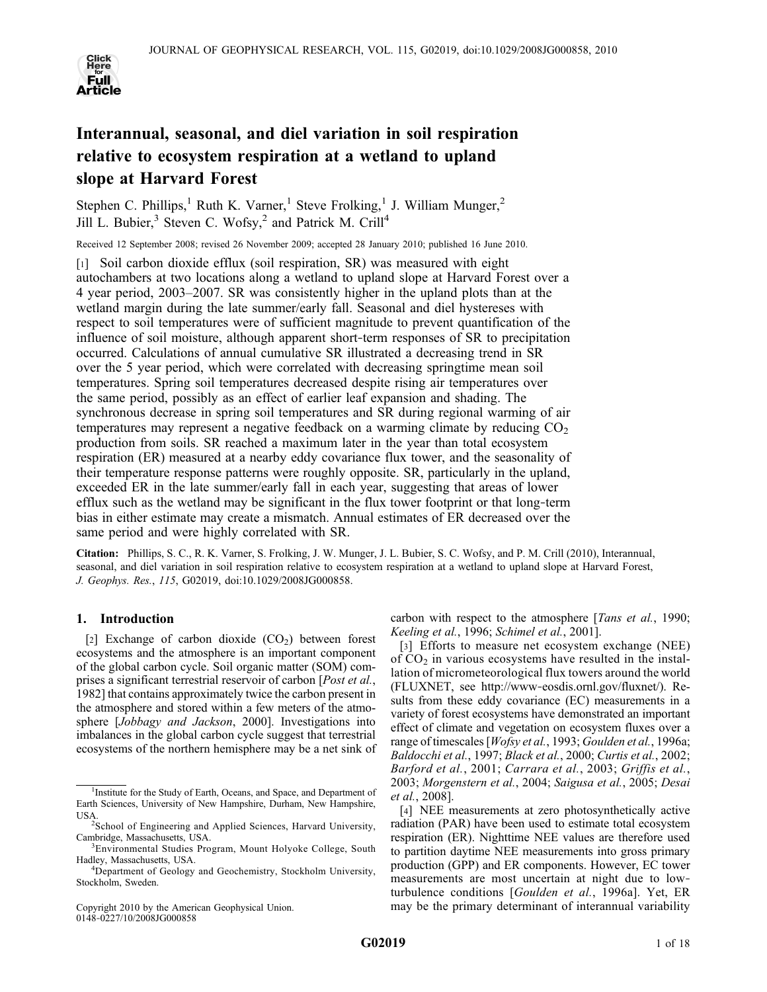

# Interannual, seasonal, and diel variation in soil respiration relative to ecosystem respiration at a wetland to upland slope at Harvard Forest

Stephen C. Phillips,<sup>1</sup> Ruth K. Varner,<sup>1</sup> Steve Frolking,<sup>1</sup> J. William Munger,<sup>2</sup> Jill L. Bubier,<sup>3</sup> Steven C. Wofsy,<sup>2</sup> and Patrick M. Crill<sup>4</sup>

Received 12 September 2008; revised 26 November 2009; accepted 28 January 2010; published 16 June 2010.

[1] Soil carbon dioxide efflux (soil respiration, SR) was measured with eight autochambers at two locations along a wetland to upland slope at Harvard Forest over a 4 year period, 2003–2007. SR was consistently higher in the upland plots than at the wetland margin during the late summer/early fall. Seasonal and diel hystereses with respect to soil temperatures were of sufficient magnitude to prevent quantification of the influence of soil moisture, although apparent short-term responses of SR to precipitation occurred. Calculations of annual cumulative SR illustrated a decreasing trend in SR over the 5 year period, which were correlated with decreasing springtime mean soil temperatures. Spring soil temperatures decreased despite rising air temperatures over the same period, possibly as an effect of earlier leaf expansion and shading. The synchronous decrease in spring soil temperatures and SR during regional warming of air temperatures may represent a negative feedback on a warming climate by reducing  $CO<sub>2</sub>$ production from soils. SR reached a maximum later in the year than total ecosystem respiration (ER) measured at a nearby eddy covariance flux tower, and the seasonality of their temperature response patterns were roughly opposite. SR, particularly in the upland, exceeded ER in the late summer/early fall in each year, suggesting that areas of lower efflux such as the wetland may be significant in the flux tower footprint or that long-term bias in either estimate may create a mismatch. Annual estimates of ER decreased over the same period and were highly correlated with SR.

Citation: Phillips, S. C., R. K. Varner, S. Frolking, J. W. Munger, J. L. Bubier, S. C. Wofsy, and P. M. Crill (2010), Interannual, seasonal, and diel variation in soil respiration relative to ecosystem respiration at a wetland to upland slope at Harvard Forest, J. Geophys. Res., 115, G02019, doi:10.1029/2008JG000858.

# 1. Introduction

[2] Exchange of carbon dioxide  $(CO<sub>2</sub>)$  between forest ecosystems and the atmosphere is an important component of the global carbon cycle. Soil organic matter (SOM) comprises a significant terrestrial reservoir of carbon [*Post et al.*, 1982] that contains approximately twice the carbon present in the atmosphere and stored within a few meters of the atmosphere [Jobbagy and Jackson, 2000]. Investigations into imbalances in the global carbon cycle suggest that terrestrial ecosystems of the northern hemisphere may be a net sink of

Copyright 2010 by the American Geophysical Union. 0148‐0227/10/2008JG000858

carbon with respect to the atmosphere [*Tans et al.*, 1990; Keeling et al., 1996; Schimel et al., 2001].

[3] Efforts to measure net ecosystem exchange (NEE) of  $CO<sub>2</sub>$  in various ecosystems have resulted in the installation of micrometeorological flux towers around the world (FLUXNET, see http://www‐eosdis.ornl.gov/fluxnet/). Results from these eddy covariance (EC) measurements in a variety of forest ecosystems have demonstrated an important effect of climate and vegetation on ecosystem fluxes over a range of timescales [Wofsy et al., 1993; Goulden et al., 1996a; Baldocchi et al., 1997; Black et al., 2000; Curtis et al., 2002; Barford et al., 2001; Carrara et al., 2003; Griffis et al., 2003; Morgenstern et al., 2004; Saigusa et al., 2005; Desai et al., 2008].

[4] NEE measurements at zero photosynthetically active radiation (PAR) have been used to estimate total ecosystem respiration (ER). Nighttime NEE values are therefore used to partition daytime NEE measurements into gross primary production (GPP) and ER components. However, EC tower measurements are most uncertain at night due to low‐ turbulence conditions [Goulden et al., 1996a]. Yet, ER may be the primary determinant of interannual variability

<sup>&</sup>lt;sup>1</sup>Institute for the Study of Earth, Oceans, and Space, and Department of Earth Sciences, University of New Hampshire, Durham, New Hampshire,

USA. <sup>2</sup> School of Engineering and Applied Sciences, Harvard University, Cambridge, Massachusetts, USA.

<sup>&</sup>lt;sup>3</sup> Environmental Studies Program, Mount Holyoke College, South Hadley, Massachusetts, USA. <sup>4</sup>

Department of Geology and Geochemistry, Stockholm University, Stockholm, Sweden.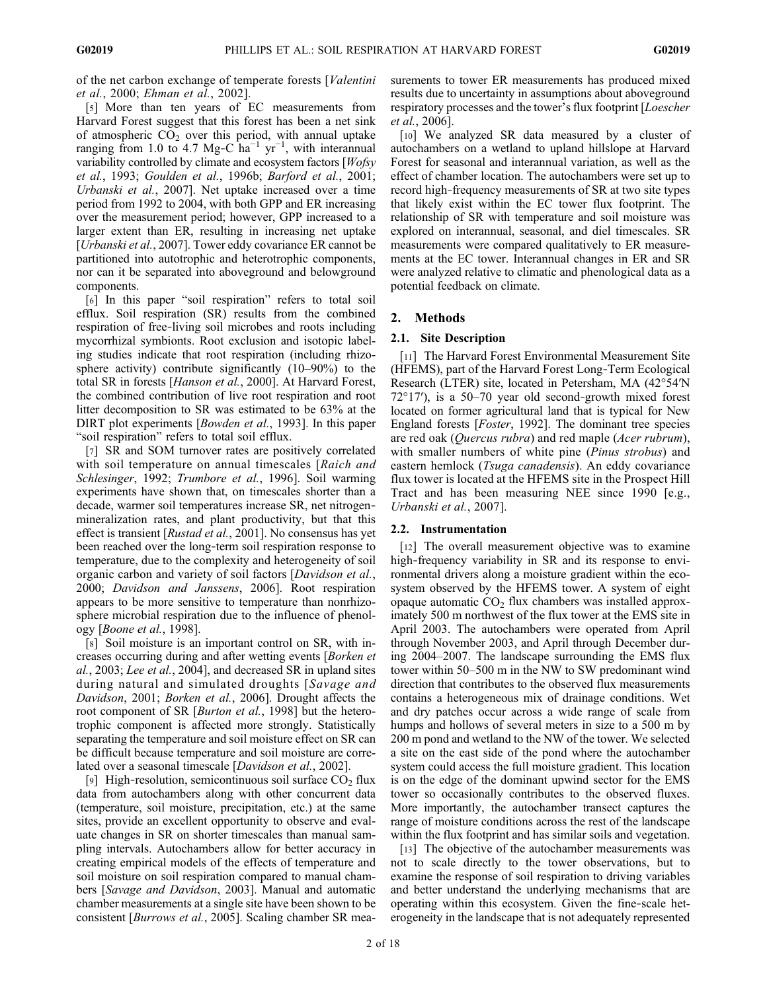of the net carbon exchange of temperate forests [Valentini et al., 2000; Ehman et al., 2002].

[5] More than ten years of EC measurements from Harvard Forest suggest that this forest has been a net sink of atmospheric  $CO<sub>2</sub>$  over this period, with annual uptake ranging from 1.0 to 4.7 Mg-C ha<sup>-1</sup> yr<sup>-1</sup>, with interannual variability controlled by climate and ecosystem factors [Wofsy et al., 1993; Goulden et al., 1996b; Barford et al., 2001; Urbanski et al., 2007]. Net uptake increased over a time period from 1992 to 2004, with both GPP and ER increasing over the measurement period; however, GPP increased to a larger extent than ER, resulting in increasing net uptake [*Urbanski et al.*, 2007]. Tower eddy covariance ER cannot be partitioned into autotrophic and heterotrophic components, nor can it be separated into aboveground and belowground components.

[6] In this paper "soil respiration" refers to total soil efflux. Soil respiration (SR) results from the combined respiration of free‐living soil microbes and roots including mycorrhizal symbionts. Root exclusion and isotopic labeling studies indicate that root respiration (including rhizosphere activity) contribute significantly (10–90%) to the total SR in forests [Hanson et al., 2000]. At Harvard Forest, the combined contribution of live root respiration and root litter decomposition to SR was estimated to be 63% at the DIRT plot experiments [*Bowden et al.*, 1993]. In this paper "soil respiration" refers to total soil efflux.

[7] SR and SOM turnover rates are positively correlated with soil temperature on annual timescales [Raich and Schlesinger, 1992; Trumbore et al., 1996]. Soil warming experiments have shown that, on timescales shorter than a decade, warmer soil temperatures increase SR, net nitrogen‐ mineralization rates, and plant productivity, but that this effect is transient [Rustad et al., 2001]. No consensus has yet been reached over the long-term soil respiration response to temperature, due to the complexity and heterogeneity of soil organic carbon and variety of soil factors [Davidson et al., 2000; Davidson and Janssens, 2006]. Root respiration appears to be more sensitive to temperature than nonrhizosphere microbial respiration due to the influence of phenology [Boone et al., 1998].

[8] Soil moisture is an important control on SR, with increases occurring during and after wetting events [Borken et al., 2003; Lee et al., 2004], and decreased SR in upland sites during natural and simulated droughts [Savage and Davidson, 2001; Borken et al., 2006]. Drought affects the root component of SR [Burton et al., 1998] but the heterotrophic component is affected more strongly. Statistically separating the temperature and soil moisture effect on SR can be difficult because temperature and soil moisture are correlated over a seasonal timescale [Davidson et al., 2002].

[9] High-resolution, semicontinuous soil surface  $CO<sub>2</sub>$  flux data from autochambers along with other concurrent data (temperature, soil moisture, precipitation, etc.) at the same sites, provide an excellent opportunity to observe and evaluate changes in SR on shorter timescales than manual sampling intervals. Autochambers allow for better accuracy in creating empirical models of the effects of temperature and soil moisture on soil respiration compared to manual chambers [Savage and Davidson, 2003]. Manual and automatic chamber measurements at a single site have been shown to be consistent [Burrows et al., 2005]. Scaling chamber SR measurements to tower ER measurements has produced mixed results due to uncertainty in assumptions about aboveground respiratory processes and the tower's flux footprint [Loescher et al., 2006].

[10] We analyzed SR data measured by a cluster of autochambers on a wetland to upland hillslope at Harvard Forest for seasonal and interannual variation, as well as the effect of chamber location. The autochambers were set up to record high‐frequency measurements of SR at two site types that likely exist within the EC tower flux footprint. The relationship of SR with temperature and soil moisture was explored on interannual, seasonal, and diel timescales. SR measurements were compared qualitatively to ER measurements at the EC tower. Interannual changes in ER and SR were analyzed relative to climatic and phenological data as a potential feedback on climate.

# 2. Methods

# 2.1. Site Description

[11] The Harvard Forest Environmental Measurement Site (HFEMS), part of the Harvard Forest Long‐Term Ecological Research (LTER) site, located in Petersham, MA (42°54′N 72°17′), is a 50–70 year old second‐growth mixed forest located on former agricultural land that is typical for New England forests [Foster, 1992]. The dominant tree species are red oak (Quercus rubra) and red maple (Acer rubrum), with smaller numbers of white pine (*Pinus strobus*) and eastern hemlock (Tsuga canadensis). An eddy covariance flux tower is located at the HFEMS site in the Prospect Hill Tract and has been measuring NEE since 1990 [e.g., Urbanski et al., 2007].

# 2.2. Instrumentation

[12] The overall measurement objective was to examine high-frequency variability in SR and its response to environmental drivers along a moisture gradient within the ecosystem observed by the HFEMS tower. A system of eight opaque automatic  $CO<sub>2</sub>$  flux chambers was installed approximately 500 m northwest of the flux tower at the EMS site in April 2003. The autochambers were operated from April through November 2003, and April through December during 2004–2007. The landscape surrounding the EMS flux tower within 50–500 m in the NW to SW predominant wind direction that contributes to the observed flux measurements contains a heterogeneous mix of drainage conditions. Wet and dry patches occur across a wide range of scale from humps and hollows of several meters in size to a 500 m by 200 m pond and wetland to the NW of the tower. We selected a site on the east side of the pond where the autochamber system could access the full moisture gradient. This location is on the edge of the dominant upwind sector for the EMS tower so occasionally contributes to the observed fluxes. More importantly, the autochamber transect captures the range of moisture conditions across the rest of the landscape within the flux footprint and has similar soils and vegetation.

[13] The objective of the autochamber measurements was not to scale directly to the tower observations, but to examine the response of soil respiration to driving variables and better understand the underlying mechanisms that are operating within this ecosystem. Given the fine‐scale heterogeneity in the landscape that is not adequately represented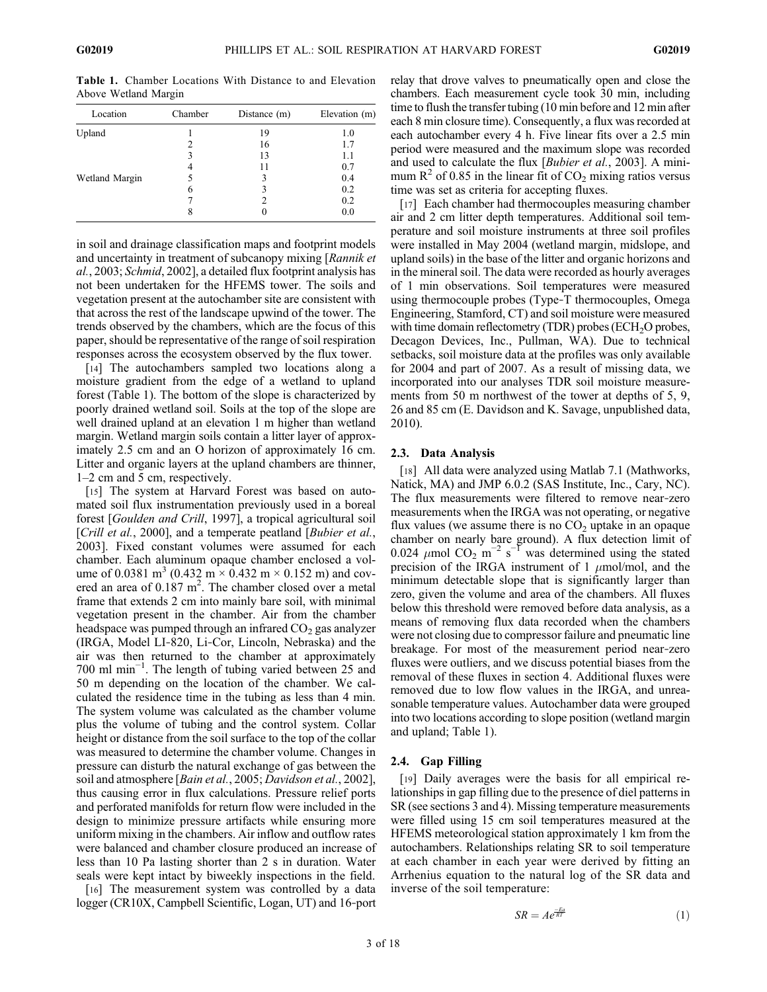Table 1. Chamber Locations With Distance to and Elevation Above Wetland Margin

| Location       | Chamber | Distance (m) | Elevation (m) |
|----------------|---------|--------------|---------------|
| Upland         |         | 19           | 1.0           |
|                |         | 16           | 1.7           |
|                | 3       | 13           | 1.1           |
|                | 4       | 11           | 0.7           |
| Wetland Margin |         | 3            | 0.4           |
|                | 6       |              | 0.2           |
|                |         |              | 0.2           |
|                | 8       |              | 0.0           |

in soil and drainage classification maps and footprint models and uncertainty in treatment of subcanopy mixing [Rannik et al., 2003; Schmid, 2002], a detailed flux footprint analysis has not been undertaken for the HFEMS tower. The soils and vegetation present at the autochamber site are consistent with that across the rest of the landscape upwind of the tower. The trends observed by the chambers, which are the focus of this paper, should be representative of the range of soil respiration responses across the ecosystem observed by the flux tower.

[14] The autochambers sampled two locations along a moisture gradient from the edge of a wetland to upland forest (Table 1). The bottom of the slope is characterized by poorly drained wetland soil. Soils at the top of the slope are well drained upland at an elevation 1 m higher than wetland margin. Wetland margin soils contain a litter layer of approximately 2.5 cm and an O horizon of approximately 16 cm. Litter and organic layers at the upland chambers are thinner, 1–2 cm and 5 cm, respectively.

[15] The system at Harvard Forest was based on automated soil flux instrumentation previously used in a boreal forest [Goulden and Crill, 1997], a tropical agricultural soil [Crill et al., 2000], and a temperate peatland [Bubier et al., 2003]. Fixed constant volumes were assumed for each chamber. Each aluminum opaque chamber enclosed a volume of 0.0381 m<sup>3</sup> (0.432 m  $\times$  0.432 m  $\times$  0.152 m) and covered an area of  $0.187 \text{ m}^2$ . The chamber closed over a metal frame that extends 2 cm into mainly bare soil, with minimal vegetation present in the chamber. Air from the chamber headspace was pumped through an infrared  $CO<sub>2</sub>$  gas analyzer (IRGA, Model LI‐820, Li‐Cor, Lincoln, Nebraska) and the air was then returned to the chamber at approximately 700 ml min−<sup>1</sup> . The length of tubing varied between 25 and 50 m depending on the location of the chamber. We calculated the residence time in the tubing as less than 4 min. The system volume was calculated as the chamber volume plus the volume of tubing and the control system. Collar height or distance from the soil surface to the top of the collar was measured to determine the chamber volume. Changes in pressure can disturb the natural exchange of gas between the soil and atmosphere [*Bain et al.*, 2005; *Davidson et al.*, 2002], thus causing error in flux calculations. Pressure relief ports and perforated manifolds for return flow were included in the design to minimize pressure artifacts while ensuring more uniform mixing in the chambers. Air inflow and outflow rates were balanced and chamber closure produced an increase of less than 10 Pa lasting shorter than 2 s in duration. Water seals were kept intact by biweekly inspections in the field.

[16] The measurement system was controlled by a data logger (CR10X, Campbell Scientific, Logan, UT) and 16‐port relay that drove valves to pneumatically open and close the chambers. Each measurement cycle took 30 min, including time to flush the transfer tubing (10 min before and 12 min after each 8 min closure time). Consequently, a flux was recorded at each autochamber every 4 h. Five linear fits over a 2.5 min period were measured and the maximum slope was recorded and used to calculate the flux [Bubier et al., 2003]. A minimum  $R^2$  of 0.85 in the linear fit of  $CO_2$  mixing ratios versus time was set as criteria for accepting fluxes.

[17] Each chamber had thermocouples measuring chamber air and 2 cm litter depth temperatures. Additional soil temperature and soil moisture instruments at three soil profiles were installed in May 2004 (wetland margin, midslope, and upland soils) in the base of the litter and organic horizons and in the mineral soil. The data were recorded as hourly averages of 1 min observations. Soil temperatures were measured using thermocouple probes (Type‐T thermocouples, Omega Engineering, Stamford, CT) and soil moisture were measured with time domain reflectometry  $(TDR)$  probes  $(ECH<sub>2</sub>O$  probes, Decagon Devices, Inc., Pullman, WA). Due to technical setbacks, soil moisture data at the profiles was only available for 2004 and part of 2007. As a result of missing data, we incorporated into our analyses TDR soil moisture measurements from 50 m northwest of the tower at depths of 5, 9, 26 and 85 cm (E. Davidson and K. Savage, unpublished data, 2010).

### 2.3. Data Analysis

[18] All data were analyzed using Matlab 7.1 (Mathworks, Natick, MA) and JMP 6.0.2 (SAS Institute, Inc., Cary, NC). The flux measurements were filtered to remove near‐zero measurements when the IRGA was not operating, or negative flux values (we assume there is no  $CO<sub>2</sub>$  uptake in an opaque chamber on nearly bare ground). A flux detection limit of 0.024  $\mu$ mol CO<sub>2</sub> m<sup>-2</sup> s<sup>-1</sup> was determined using the stated precision of the IRGA instrument of 1  $\mu$ mol/mol, and the minimum detectable slope that is significantly larger than zero, given the volume and area of the chambers. All fluxes below this threshold were removed before data analysis, as a means of removing flux data recorded when the chambers were not closing due to compressor failure and pneumatic line breakage. For most of the measurement period near‐zero fluxes were outliers, and we discuss potential biases from the removal of these fluxes in section 4. Additional fluxes were removed due to low flow values in the IRGA, and unreasonable temperature values. Autochamber data were grouped into two locations according to slope position (wetland margin and upland; Table 1).

#### 2.4. Gap Filling

[19] Daily averages were the basis for all empirical relationships in gap filling due to the presence of diel patterns in SR (see sections 3 and 4). Missing temperature measurements were filled using 15 cm soil temperatures measured at the HFEMS meteorological station approximately 1 km from the autochambers. Relationships relating SR to soil temperature at each chamber in each year were derived by fitting an Arrhenius equation to the natural log of the SR data and inverse of the soil temperature:

$$
SR = Ae^{\frac{-Ea}{RT}} \tag{1}
$$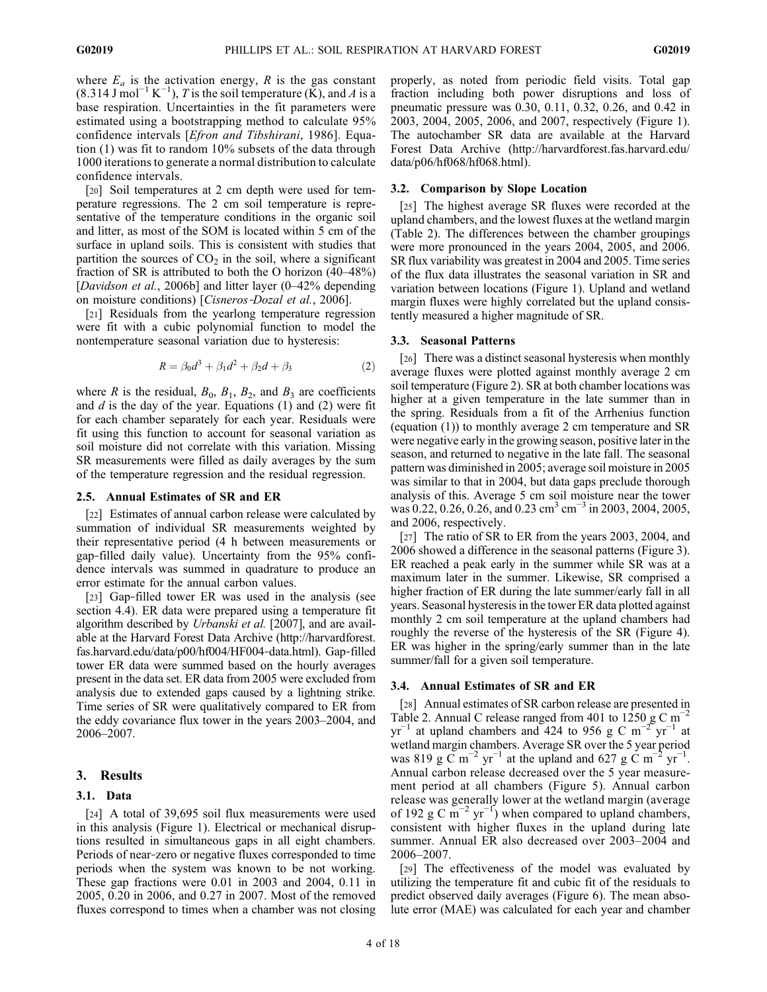where  $E_a$  is the activation energy, R is the gas constant  $(8.314 \text{ J mol}^{-1} \text{ K}^{-1})$ , T is the soil temperature (K), and A is a base respiration. Uncertainties in the fit parameters were estimated using a bootstrapping method to calculate 95% confidence intervals [Efron and Tibshirani, 1986]. Equation (1) was fit to random 10% subsets of the data through 1000 iterations to generate a normal distribution to calculate confidence intervals.

[20] Soil temperatures at 2 cm depth were used for temperature regressions. The 2 cm soil temperature is representative of the temperature conditions in the organic soil and litter, as most of the SOM is located within 5 cm of the surface in upland soils. This is consistent with studies that partition the sources of  $CO<sub>2</sub>$  in the soil, where a significant fraction of SR is attributed to both the O horizon (40–48%) [*Davidson et al.*, 2006b] and litter layer (0–42% depending on moisture conditions) [Cisneros‐Dozal et al., 2006].

[21] Residuals from the yearlong temperature regression were fit with a cubic polynomial function to model the nontemperature seasonal variation due to hysteresis:

$$
R = \beta_0 d^3 + \beta_1 d^2 + \beta_2 d + \beta_3 \tag{2}
$$

where R is the residual,  $B_0$ ,  $B_1$ ,  $B_2$ , and  $B_3$  are coefficients and  $d$  is the day of the year. Equations (1) and (2) were fit for each chamber separately for each year. Residuals were fit using this function to account for seasonal variation as soil moisture did not correlate with this variation. Missing SR measurements were filled as daily averages by the sum of the temperature regression and the residual regression.

## 2.5. Annual Estimates of SR and ER

[22] Estimates of annual carbon release were calculated by summation of individual SR measurements weighted by their representative period (4 h between measurements or gap‐filled daily value). Uncertainty from the 95% confidence intervals was summed in quadrature to produce an error estimate for the annual carbon values.

[23] Gap-filled tower ER was used in the analysis (see section 4.4). ER data were prepared using a temperature fit algorithm described by Urbanski et al. [2007], and are available at the Harvard Forest Data Archive (http://harvardforest. fas.harvard.edu/data/p00/hf004/HF004‐data.html). Gap‐filled tower ER data were summed based on the hourly averages present in the data set. ER data from 2005 were excluded from analysis due to extended gaps caused by a lightning strike. Time series of SR were qualitatively compared to ER from the eddy covariance flux tower in the years 2003–2004, and 2006–2007.

#### 3. Results

#### 3.1. Data

[24] A total of 39,695 soil flux measurements were used in this analysis (Figure 1). Electrical or mechanical disruptions resulted in simultaneous gaps in all eight chambers. Periods of near‐zero or negative fluxes corresponded to time periods when the system was known to be not working. These gap fractions were 0.01 in 2003 and 2004, 0.11 in 2005, 0.20 in 2006, and 0.27 in 2007. Most of the removed fluxes correspond to times when a chamber was not closing properly, as noted from periodic field visits. Total gap fraction including both power disruptions and loss of pneumatic pressure was 0.30, 0.11, 0.32, 0.26, and 0.42 in 2003, 2004, 2005, 2006, and 2007, respectively (Figure 1). The autochamber SR data are available at the Harvard Forest Data Archive (http://harvardforest.fas.harvard.edu/ data/p06/hf068/hf068.html).

#### 3.2. Comparison by Slope Location

[25] The highest average SR fluxes were recorded at the upland chambers, and the lowest fluxes at the wetland margin (Table 2). The differences between the chamber groupings were more pronounced in the years 2004, 2005, and 2006. SR flux variability was greatest in 2004 and 2005. Time series of the flux data illustrates the seasonal variation in SR and variation between locations (Figure 1). Upland and wetland margin fluxes were highly correlated but the upland consistently measured a higher magnitude of SR.

#### 3.3. Seasonal Patterns

[26] There was a distinct seasonal hysteresis when monthly average fluxes were plotted against monthly average 2 cm soil temperature (Figure 2). SR at both chamber locations was higher at a given temperature in the late summer than in the spring. Residuals from a fit of the Arrhenius function (equation (1)) to monthly average 2 cm temperature and SR were negative early in the growing season, positive later in the season, and returned to negative in the late fall. The seasonal pattern was diminished in 2005; average soil moisture in 2005 was similar to that in 2004, but data gaps preclude thorough analysis of this. Average 5 cm soil moisture near the tower was 0.22, 0.26, 0.26, and 0.23 cm<sup>3</sup> cm<sup>-3</sup> in 2003, 2004, 2005, and 2006, respectively.

[27] The ratio of SR to ER from the years 2003, 2004, and 2006 showed a difference in the seasonal patterns (Figure 3). ER reached a peak early in the summer while SR was at a maximum later in the summer. Likewise, SR comprised a higher fraction of ER during the late summer/early fall in all years. Seasonal hysteresis in the tower ER data plotted against monthly 2 cm soil temperature at the upland chambers had roughly the reverse of the hysteresis of the SR (Figure 4). ER was higher in the spring/early summer than in the late summer/fall for a given soil temperature.

#### 3.4. Annual Estimates of SR and ER

[28] Annual estimates of SR carbon release are presented in Table 2. Annual C release ranged from 401 to 1250 g C m<sup>-2</sup>  $yr^{-1}$  at upland chambers and 424 to 956 g C m<sup>-2</sup> yr<sup>-1</sup> at wetland margin chambers. Average SR over the 5 year period was 819 g  $\widetilde{C}$  m<sup>-2</sup> yr<sup>-1</sup> at the upland and 627 g  $\widetilde{C}$  m<sup>-2</sup> yr<sup>-1</sup>. Annual carbon release decreased over the 5 year measurement period at all chambers (Figure 5). Annual carbon release was generally lower at the wetland margin (average of 192 g C  $\overline{m}^{-2}$  yr<sup>-1</sup>) when compared to upland chambers, consistent with higher fluxes in the upland during late summer. Annual ER also decreased over 2003–2004 and 2006–2007.

[29] The effectiveness of the model was evaluated by utilizing the temperature fit and cubic fit of the residuals to predict observed daily averages (Figure 6). The mean absolute error (MAE) was calculated for each year and chamber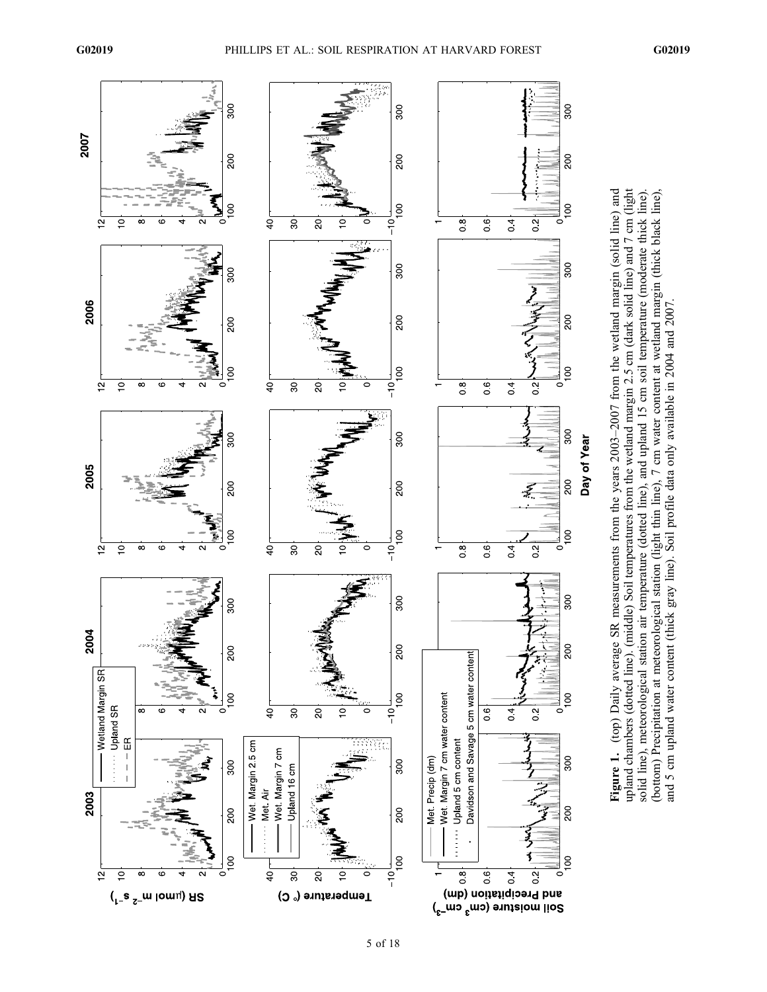

Figure 1. (top) Daily average SR measurements from the years 2003-2007 from the wetland margin (solid line) and Figure 1. (top) Daily average SR measurements from the years 2003–2007 from the wetland margin (solid line) and upland chambers (dotted line). (middle) Soil temperatures from the wetland margin 2.5 cm (dark solid line) and 7 cm (light upland chambers (dotted line). (middle) Soil temperatures from the wetland margin 2.5 cm (dark solid line) and 7 cm (light solid line), meteorological station air temperature (dotted line), and upland 15 cm soil temperature (moderate thick line). (bottom) Precipitation at meteorological station (light thin line), 7 cm water content at wetland margin (thick black line), solid line), meteorological station air temperature (dotted line), and upland 15 cm soil temperature (moderate thick line) (bottom) Precipitation at meteorological station (light thin line), 7 cm water content at wetland margin (thick black line), and 5 cm upland water content (thick gray line). Soil profile data only available in 2004 and 2007. and 5 cm upland water content (thick gray line). Soil profile data only available in 2004 and 2007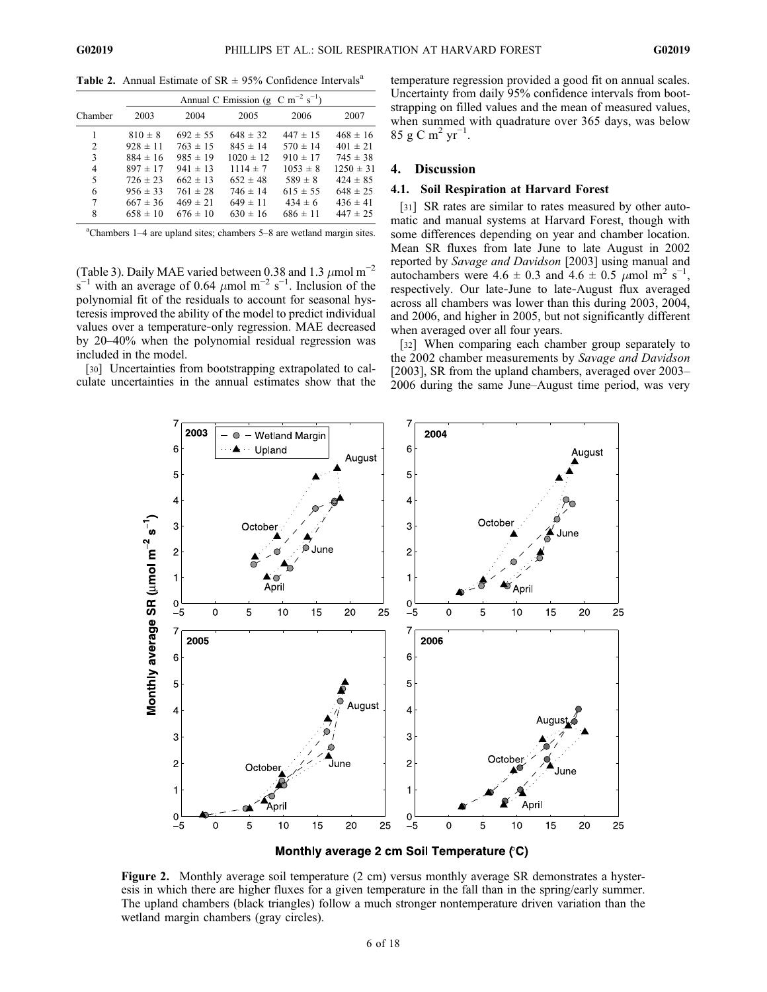**Table 2.** Annual Estimate of  $SR \pm 95\%$  Confidence Intervals<sup>a</sup>

|         |              | Annual C Emission (g C m <sup>-2</sup> s <sup>-1</sup> ) |               |              |               |  |  |
|---------|--------------|----------------------------------------------------------|---------------|--------------|---------------|--|--|
| Chamber | 2003         | 2004                                                     | 2005          | 2006         | 2007          |  |  |
|         | $810 \pm 8$  | $692 \pm 55$                                             | $648 \pm 32$  | $447 \pm 15$ | $468 \pm 16$  |  |  |
| 2       | $928 \pm 11$ | $763 \pm 15$                                             | $845 \pm 14$  | $570 \pm 14$ | $401 \pm 21$  |  |  |
| 3       | $884 \pm 16$ | $985 \pm 19$                                             | $1020 \pm 12$ | $910 \pm 17$ | $745 \pm 38$  |  |  |
| 4       | $897 \pm 17$ | $941 \pm 13$                                             | $1114 \pm 7$  | $1053 \pm 8$ | $1250 \pm 31$ |  |  |
| 5       | $726 \pm 23$ | $662 \pm 13$                                             | $652 \pm 48$  | $589 \pm 8$  | $424 \pm 85$  |  |  |
| 6       | $956 \pm 33$ | $761 \pm 28$                                             | $746 \pm 14$  | $615 \pm 55$ | $648 \pm 25$  |  |  |
| 7       | $667 \pm 36$ | $469 \pm 21$                                             | $649 \pm 11$  | $434 \pm 6$  | $436 \pm 41$  |  |  |
| 8       | $658 \pm 10$ | $676 \pm 10$                                             | $630 \pm 16$  | $686 \pm 11$ | $447 \pm 25$  |  |  |

a Chambers 1–4 are upland sites; chambers 5–8 are wetland margin sites.

(Table 3). Daily MAE varied between 0.38 and 1.3  $\mu$ mol m<sup>-2</sup>  $\sin^{-1}$  with an average of 0.64  $\mu$ mol m<sup>-2</sup> s<sup>-1</sup>. Inclusion of the polynomial fit of the residuals to account for seasonal hysteresis improved the ability of the model to predict individual values over a temperature‐only regression. MAE decreased by 20–40% when the polynomial residual regression was included in the model.

[30] Uncertainties from bootstrapping extrapolated to calculate uncertainties in the annual estimates show that the temperature regression provided a good fit on annual scales. Uncertainty from daily 95% confidence intervals from bootstrapping on filled values and the mean of measured values, when summed with quadrature over 365 days, was below 85 g C m<sup>2</sup> yr<sup>-1</sup>.

# 4. Discussion

#### 4.1. Soil Respiration at Harvard Forest

[31] SR rates are similar to rates measured by other automatic and manual systems at Harvard Forest, though with some differences depending on year and chamber location. Mean SR fluxes from late June to late August in 2002 reported by Savage and Davidson [2003] using manual and autochambers were  $4.6 \pm 0.3$  and  $4.6 \pm 0.5$   $\mu$ mol m<sup>2</sup> s<sup>-1</sup>, respectively. Our late‐June to late‐August flux averaged across all chambers was lower than this during 2003, 2004, and 2006, and higher in 2005, but not significantly different when averaged over all four years.

[32] When comparing each chamber group separately to the 2002 chamber measurements by Savage and Davidson [2003], SR from the upland chambers, averaged over 2003– 2006 during the same June–August time period, was very



Monthly average 2 cm Soil Temperature (°C)

Figure 2. Monthly average soil temperature (2 cm) versus monthly average SR demonstrates a hysteresis in which there are higher fluxes for a given temperature in the fall than in the spring/early summer. The upland chambers (black triangles) follow a much stronger nontemperature driven variation than the wetland margin chambers (gray circles).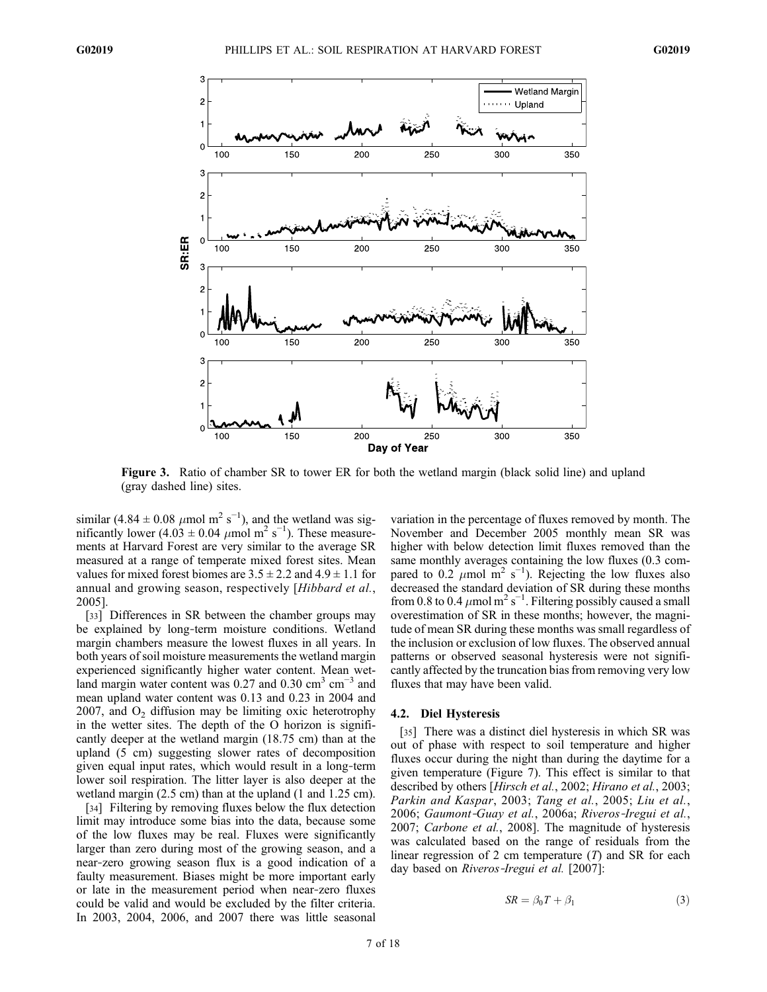

Figure 3. Ratio of chamber SR to tower ER for both the wetland margin (black solid line) and upland (gray dashed line) sites.

similar  $(4.84 \pm 0.08 \ \mu \text{mol m}^2 \text{ s}^{-1})$ , and the wetland was significantly lower  $(4.03 \pm 0.04 \ \mu \text{mol m}^2 \text{ s}^{-1})$ . These measurements at Harvard Forest are very similar to the average SR measured at a range of temperate mixed forest sites. Mean values for mixed forest biomes are  $3.5 \pm 2.2$  and  $4.9 \pm 1.1$  for annual and growing season, respectively [Hibbard et al., 2005].

[33] Differences in SR between the chamber groups may be explained by long-term moisture conditions. Wetland margin chambers measure the lowest fluxes in all years. In both years of soil moisture measurements the wetland margin experienced significantly higher water content. Mean wetland margin water content was 0.27 and 0.30 cm<sup>3</sup> cm<sup>-3</sup> and mean upland water content was 0.13 and 0.23 in 2004 and 2007, and  $O_2$  diffusion may be limiting oxic heterotrophy in the wetter sites. The depth of the O horizon is significantly deeper at the wetland margin (18.75 cm) than at the upland (5 cm) suggesting slower rates of decomposition given equal input rates, which would result in a long‐term lower soil respiration. The litter layer is also deeper at the wetland margin (2.5 cm) than at the upland (1 and 1.25 cm).

[34] Filtering by removing fluxes below the flux detection limit may introduce some bias into the data, because some of the low fluxes may be real. Fluxes were significantly larger than zero during most of the growing season, and a near‐zero growing season flux is a good indication of a faulty measurement. Biases might be more important early or late in the measurement period when near‐zero fluxes could be valid and would be excluded by the filter criteria. In 2003, 2004, 2006, and 2007 there was little seasonal variation in the percentage of fluxes removed by month. The November and December 2005 monthly mean SR was higher with below detection limit fluxes removed than the same monthly averages containing the low fluxes (0.3 compared to 0.2  $\mu$ mol m<sup>2</sup> s<sup>-1</sup>). Rejecting the low fluxes also decreased the standard deviation of SR during these months from 0.8 to 0.4  $\mu$ mol m<sup>2</sup> s<sup>-1</sup>. Filtering possibly caused a small overestimation of SR in these months; however, the magnitude of mean SR during these months was small regardless of the inclusion or exclusion of low fluxes. The observed annual patterns or observed seasonal hysteresis were not significantly affected by the truncation bias from removing very low fluxes that may have been valid.

#### 4.2. Diel Hysteresis

[35] There was a distinct diel hysteresis in which SR was out of phase with respect to soil temperature and higher fluxes occur during the night than during the daytime for a given temperature (Figure 7). This effect is similar to that described by others [Hirsch et al., 2002; Hirano et al., 2003; Parkin and Kaspar, 2003; Tang et al., 2005; Liu et al., 2006; Gaumont‐Guay et al., 2006a; Riveros‐Iregui et al., 2007; Carbone et al., 2008]. The magnitude of hysteresis was calculated based on the range of residuals from the linear regression of 2 cm temperature  $(T)$  and SR for each day based on Riveros-Iregui et al. [2007]:

$$
SR = \beta_0 T + \beta_1 \tag{3}
$$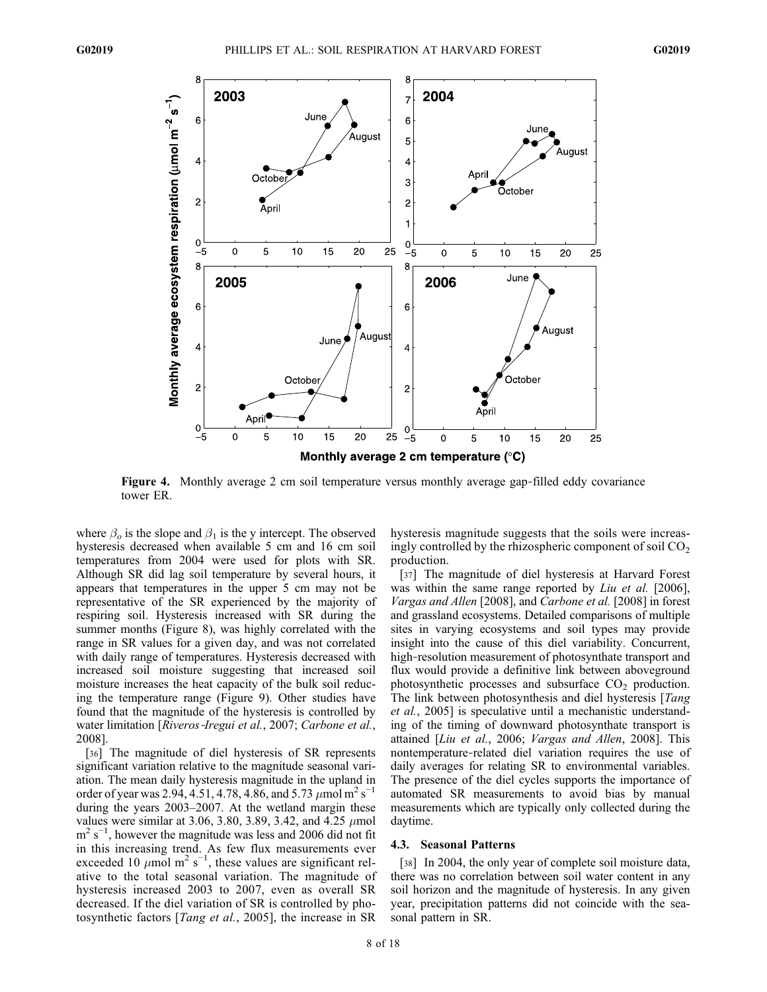

Figure 4. Monthly average 2 cm soil temperature versus monthly average gap-filled eddy covariance tower ER.

where  $\beta_o$  is the slope and  $\beta_1$  is the y intercept. The observed hysteresis decreased when available 5 cm and 16 cm soil temperatures from 2004 were used for plots with SR. Although SR did lag soil temperature by several hours, it appears that temperatures in the upper 5 cm may not be representative of the SR experienced by the majority of respiring soil. Hysteresis increased with SR during the summer months (Figure 8), was highly correlated with the range in SR values for a given day, and was not correlated with daily range of temperatures. Hysteresis decreased with increased soil moisture suggesting that increased soil moisture increases the heat capacity of the bulk soil reducing the temperature range (Figure 9). Other studies have found that the magnitude of the hysteresis is controlled by water limitation [Riveros-Iregui et al., 2007; Carbone et al., 2008].

[36] The magnitude of diel hysteresis of SR represents significant variation relative to the magnitude seasonal variation. The mean daily hysteresis magnitude in the upland in order of year was 2.94, 4.51, 4.78, 4.86, and 5.73  $\mu$ mol m<sup>2</sup> s<sup>-1</sup> during the years 2003–2007. At the wetland margin these values were similar at 3.06, 3.80, 3.89, 3.42, and 4.25  $\mu$ mol  $m^2$  s<sup>-1</sup>, however the magnitude was less and 2006 did not fit in this increasing trend. As few flux measurements ever exceeded 10  $\mu$ mol m<sup>2</sup> s<sup>-1</sup>, these values are significant relative to the total seasonal variation. The magnitude of hysteresis increased 2003 to 2007, even as overall SR decreased. If the diel variation of SR is controlled by photosynthetic factors [Tang et al., 2005], the increase in SR

hysteresis magnitude suggests that the soils were increasingly controlled by the rhizospheric component of soil  $CO<sub>2</sub>$ production.

[37] The magnitude of diel hysteresis at Harvard Forest was within the same range reported by *Liu et al.* [2006], Vargas and Allen [2008], and Carbone et al. [2008] in forest and grassland ecosystems. Detailed comparisons of multiple sites in varying ecosystems and soil types may provide insight into the cause of this diel variability. Concurrent, high–resolution measurement of photosynthate transport and flux would provide a definitive link between aboveground photosynthetic processes and subsurface  $CO<sub>2</sub>$  production. The link between photosynthesis and diel hysteresis [*Tang*] et al., 2005] is speculative until a mechanistic understanding of the timing of downward photosynthate transport is attained [Liu et al., 2006; Vargas and Allen, 2008]. This nontemperature‐related diel variation requires the use of daily averages for relating SR to environmental variables. The presence of the diel cycles supports the importance of automated SR measurements to avoid bias by manual measurements which are typically only collected during the daytime.

#### 4.3. Seasonal Patterns

[38] In 2004, the only year of complete soil moisture data, there was no correlation between soil water content in any soil horizon and the magnitude of hysteresis. In any given year, precipitation patterns did not coincide with the seasonal pattern in SR.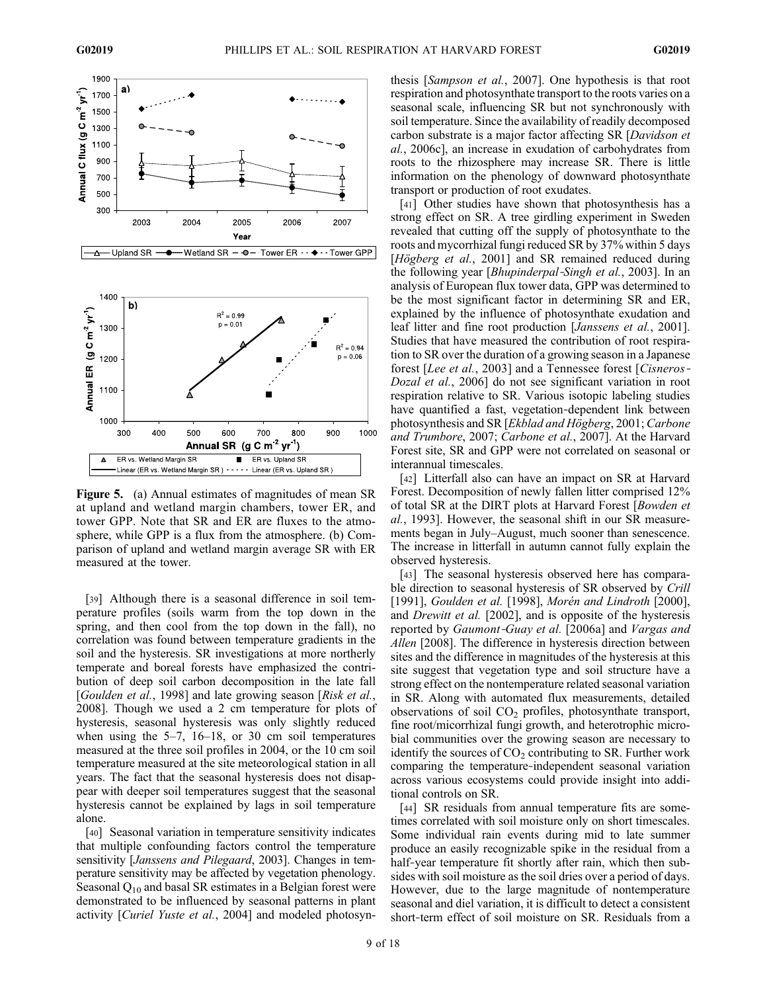

Figure 5. (a) Annual estimates of magnitudes of mean SR at upland and wetland margin chambers, tower ER, and tower GPP. Note that SR and ER are fluxes to the atmosphere, while GPP is a flux from the atmosphere. (b) Comparison of upland and wetland margin average SR with ER measured at the tower.

[39] Although there is a seasonal difference in soil temperature profiles (soils warm from the top down in the spring, and then cool from the top down in the fall), no correlation was found between temperature gradients in the soil and the hysteresis. SR investigations at more northerly temperate and boreal forests have emphasized the contribution of deep soil carbon decomposition in the late fall [Goulden et al., 1998] and late growing season [Risk et al., 2008]. Though we used a 2 cm temperature for plots of hysteresis, seasonal hysteresis was only slightly reduced when using the  $5-7$ ,  $16-18$ , or 30 cm soil temperatures measured at the three soil profiles in 2004, or the 10 cm soil temperature measured at the site meteorological station in all years. The fact that the seasonal hysteresis does not disappear with deeper soil temperatures suggest that the seasonal hysteresis cannot be explained by lags in soil temperature alone.

[40] Seasonal variation in temperature sensitivity indicates that multiple confounding factors control the temperature sensitivity [Janssens and Pilegaard, 2003]. Changes in temperature sensitivity may be affected by vegetation phenology. Seasonal  $Q_{10}$  and basal SR estimates in a Belgian forest were demonstrated to be influenced by seasonal patterns in plant activity [Curiel Yuste et al., 2004] and modeled photosynthesis [Sampson et al., 2007]. One hypothesis is that root respiration and photosynthate transport to the roots varies on a seasonal scale, influencing SR but not synchronously with soil temperature. Since the availability of readily decomposed carbon substrate is a major factor affecting SR [Davidson et al., 2006c], an increase in exudation of carbohydrates from roots to the rhizosphere may increase SR. There is little information on the phenology of downward photosynthate transport or production of root exudates.

[41] Other studies have shown that photosynthesis has a strong effect on SR. A tree girdling experiment in Sweden revealed that cutting off the supply of photosynthate to the roots and mycorrhizal fungi reduced SR by 37% within 5 days [Högberg et al., 2001] and SR remained reduced during the following year [Bhupinderpal‐Singh et al., 2003]. In an analysis of European flux tower data, GPP was determined to be the most significant factor in determining SR and ER, explained by the influence of photosynthate exudation and leaf litter and fine root production [Janssens et al., 2001]. Studies that have measured the contribution of root respiration to SR over the duration of a growing season in a Japanese forest [Lee et al., 2003] and a Tennessee forest [Cisneros-Dozal et al., 2006] do not see significant variation in root respiration relative to SR. Various isotopic labeling studies have quantified a fast, vegetation-dependent link between photosynthesis and SR [Ekblad and Högberg, 2001; Carbone and Trumbore, 2007; Carbone et al., 2007]. At the Harvard Forest site, SR and GPP were not correlated on seasonal or interannual timescales.

[42] Litterfall also can have an impact on SR at Harvard Forest. Decomposition of newly fallen litter comprised 12% of total SR at the DIRT plots at Harvard Forest [Bowden et al., 1993]. However, the seasonal shift in our SR measurements began in July–August, much sooner than senescence. The increase in litterfall in autumn cannot fully explain the observed hysteresis.

[43] The seasonal hysteresis observed here has comparable direction to seasonal hysteresis of SR observed by Crill [1991], Goulden et al. [1998], Morén and Lindroth [2000], and Drewitt et al. [2002], and is opposite of the hysteresis reported by Gaumont-Guay et al. [2006a] and Vargas and Allen [2008]. The difference in hysteresis direction between sites and the difference in magnitudes of the hysteresis at this site suggest that vegetation type and soil structure have a strong effect on the nontemperature related seasonal variation in SR. Along with automated flux measurements, detailed observations of soil  $CO<sub>2</sub>$  profiles, photosynthate transport, fine root/micorrhizal fungi growth, and heterotrophic microbial communities over the growing season are necessary to identify the sources of  $CO<sub>2</sub>$  contributing to SR. Further work comparing the temperature‐independent seasonal variation across various ecosystems could provide insight into additional controls on SR.

[44] SR residuals from annual temperature fits are sometimes correlated with soil moisture only on short timescales. Some individual rain events during mid to late summer produce an easily recognizable spike in the residual from a half-year temperature fit shortly after rain, which then subsides with soil moisture as the soil dries over a period of days. However, due to the large magnitude of nontemperature seasonal and diel variation, it is difficult to detect a consistent short-term effect of soil moisture on SR. Residuals from a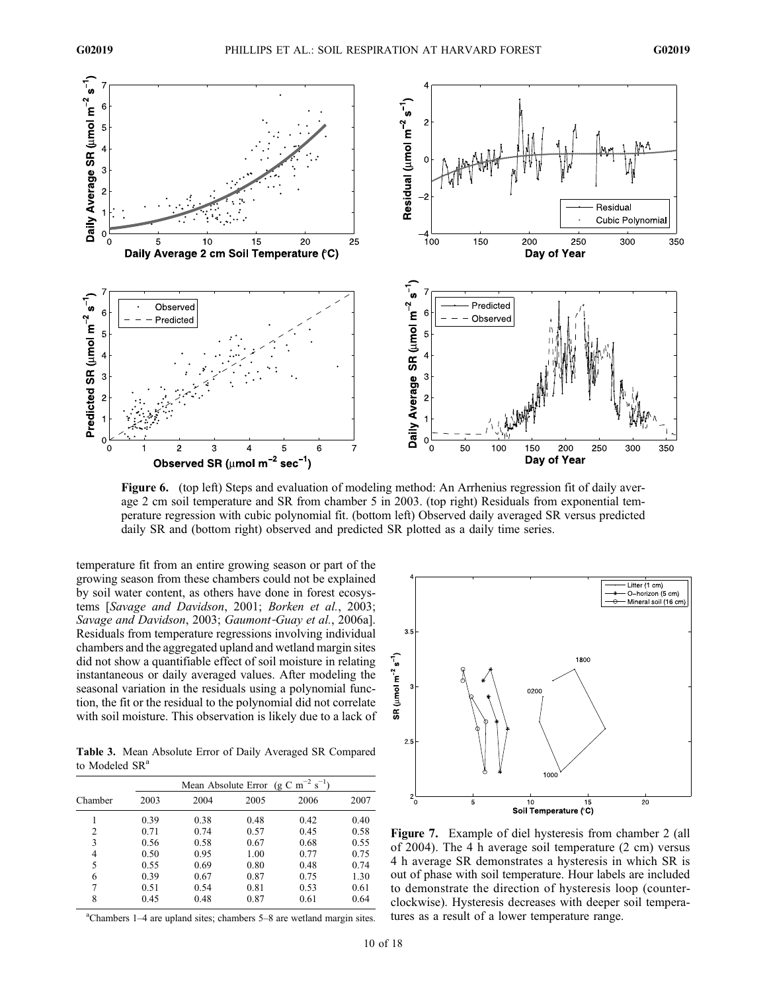

Figure 6. (top left) Steps and evaluation of modeling method: An Arrhenius regression fit of daily average 2 cm soil temperature and SR from chamber 5 in 2003. (top right) Residuals from exponential temperature regression with cubic polynomial fit. (bottom left) Observed daily averaged SR versus predicted daily SR and (bottom right) observed and predicted SR plotted as a daily time series.

temperature fit from an entire growing season or part of the growing season from these chambers could not be explained by soil water content, as others have done in forest ecosystems [Savage and Davidson, 2001; Borken et al., 2003; Savage and Davidson, 2003; Gaumont-Guay et al., 2006a]. Residuals from temperature regressions involving individual chambers and the aggregated upland and wetland margin sites did not show a quantifiable effect of soil moisture in relating instantaneous or daily averaged values. After modeling the seasonal variation in the residuals using a polynomial function, the fit or the residual to the polynomial did not correlate with soil moisture. This observation is likely due to a lack of

Table 3. Mean Absolute Error of Daily Averaged SR Compared to Modeled SR<sup>a</sup>

|                | Mean Absolute Error (g C m <sup>-2</sup> s <sup>-1</sup> ) |      |      |      |      |
|----------------|------------------------------------------------------------|------|------|------|------|
| Chamber        | 2003                                                       | 2004 | 2005 | 2006 | 2007 |
|                | 0.39                                                       | 0.38 | 0.48 | 0.42 | 0.40 |
| $\overline{c}$ | 0.71                                                       | 0.74 | 0.57 | 0.45 | 0.58 |
| 3              | 0.56                                                       | 0.58 | 0.67 | 0.68 | 0.55 |
| 4              | 0.50                                                       | 0.95 | 1.00 | 0.77 | 0.75 |
| 5              | 0.55                                                       | 0.69 | 0.80 | 0.48 | 0.74 |
| 6              | 0.39                                                       | 0.67 | 0.87 | 0.75 | 1.30 |
| 7              | 0.51                                                       | 0.54 | 0.81 | 0.53 | 0.61 |
| 8              | 0.45                                                       | 0.48 | 0.87 | 0.61 | 0.64 |

a Chambers 1–4 are upland sites; chambers 5–8 are wetland margin sites.



Figure 7. Example of diel hysteresis from chamber 2 (all of 2004). The 4 h average soil temperature (2 cm) versus 4 h average SR demonstrates a hysteresis in which SR is out of phase with soil temperature. Hour labels are included to demonstrate the direction of hysteresis loop (counterclockwise). Hysteresis decreases with deeper soil temperatures as a result of a lower temperature range.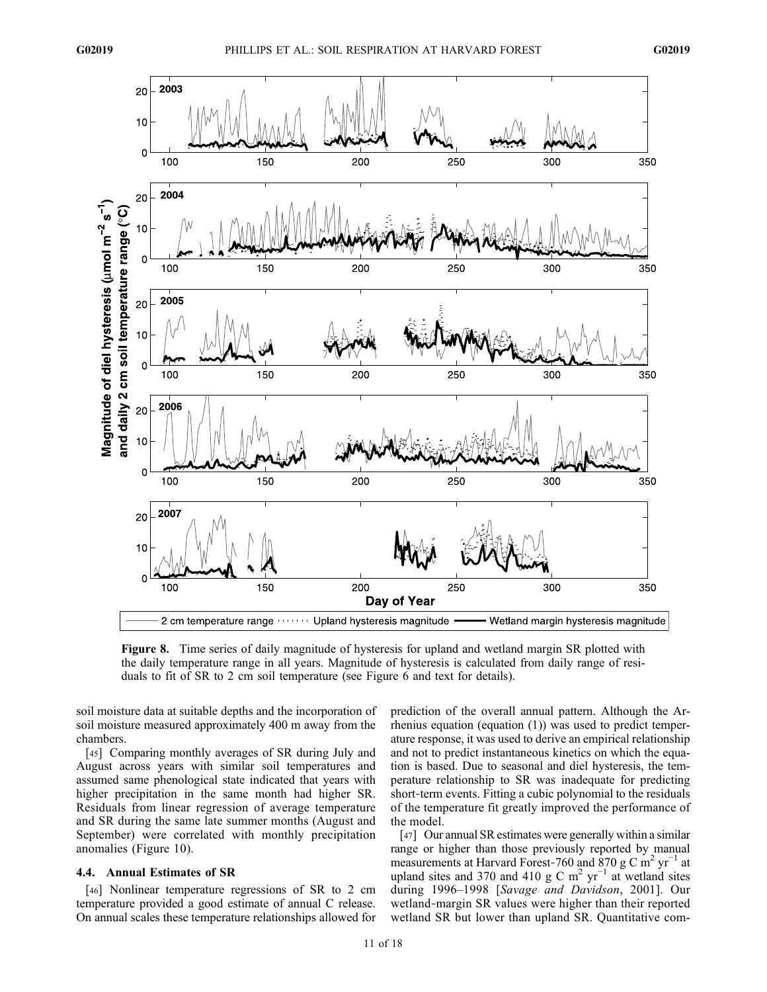

Figure 8. Time series of daily magnitude of hysteresis for upland and wetland margin SR plotted with the daily temperature range in all years. Magnitude of hysteresis is calculated from daily range of residuals to fit of SR to 2 cm soil temperature (see Figure 6 and text for details).

soil moisture data at suitable depths and the incorporation of soil moisture measured approximately 400 m away from the chambers.

[45] Comparing monthly averages of SR during July and August across years with similar soil temperatures and assumed same phenological state indicated that years with higher precipitation in the same month had higher SR. Residuals from linear regression of average temperature and SR during the same late summer months (August and September) were correlated with monthly precipitation anomalies (Figure 10).

#### 4.4. Annual Estimates of SR

[46] Nonlinear temperature regressions of SR to 2 cm temperature provided a good estimate of annual C release. On annual scales these temperature relationships allowed for

prediction of the overall annual pattern. Although the Arrhenius equation (equation (1)) was used to predict temperature response, it was used to derive an empirical relationship and not to predict instantaneous kinetics on which the equation is based. Due to seasonal and diel hysteresis, the temperature relationship to SR was inadequate for predicting short-term events. Fitting a cubic polynomial to the residuals of the temperature fit greatly improved the performance of the model.

[47] Our annual SR estimates were generally within a similar range or higher than those previously reported by manual measurements at Harvard Forest-760 and 870 g C m<sup>2</sup> yr<sup>-1</sup> at upland sites and 370 and 410 g C m<sup>2</sup> yr<sup>-1</sup> at wetland sites during 1996–1998 [Savage and Davidson, 2001]. Our wetland‐margin SR values were higher than their reported wetland SR but lower than upland SR. Quantitative com-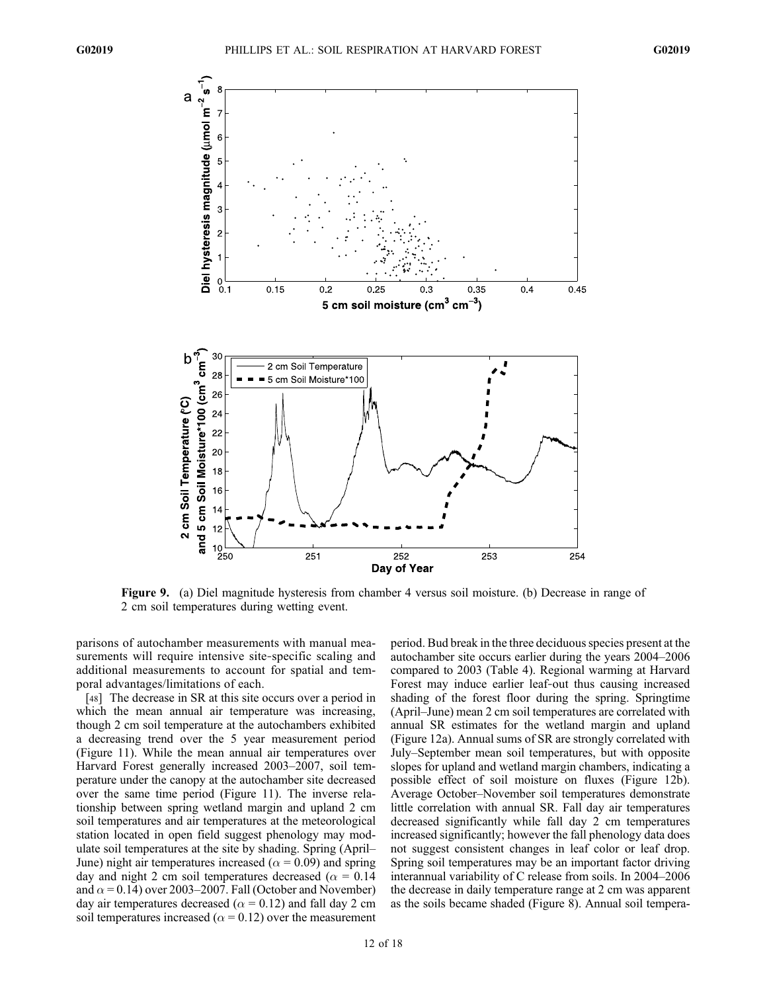

Figure 9. (a) Diel magnitude hysteresis from chamber 4 versus soil moisture. (b) Decrease in range of 2 cm soil temperatures during wetting event.

parisons of autochamber measurements with manual measurements will require intensive site-specific scaling and additional measurements to account for spatial and temporal advantages/limitations of each.

[48] The decrease in SR at this site occurs over a period in which the mean annual air temperature was increasing, though 2 cm soil temperature at the autochambers exhibited a decreasing trend over the 5 year measurement period (Figure 11). While the mean annual air temperatures over Harvard Forest generally increased 2003–2007, soil temperature under the canopy at the autochamber site decreased over the same time period (Figure 11). The inverse relationship between spring wetland margin and upland 2 cm soil temperatures and air temperatures at the meteorological station located in open field suggest phenology may modulate soil temperatures at the site by shading. Spring (April– June) night air temperatures increased ( $\alpha$  = 0.09) and spring day and night 2 cm soil temperatures decreased ( $\alpha = 0.14$ ) and  $\alpha$  = 0.14) over 2003–2007. Fall (October and November) day air temperatures decreased ( $\alpha$  = 0.12) and fall day 2 cm soil temperatures increased ( $\alpha$  = 0.12) over the measurement

period. Bud break in the three deciduous species present at the autochamber site occurs earlier during the years 2004–2006 compared to 2003 (Table 4). Regional warming at Harvard Forest may induce earlier leaf-out thus causing increased shading of the forest floor during the spring. Springtime (April–June) mean 2 cm soil temperatures are correlated with annual SR estimates for the wetland margin and upland (Figure 12a). Annual sums of SR are strongly correlated with July–September mean soil temperatures, but with opposite slopes for upland and wetland margin chambers, indicating a possible effect of soil moisture on fluxes (Figure 12b). Average October–November soil temperatures demonstrate little correlation with annual SR. Fall day air temperatures decreased significantly while fall day 2 cm temperatures increased significantly; however the fall phenology data does not suggest consistent changes in leaf color or leaf drop. Spring soil temperatures may be an important factor driving interannual variability of C release from soils. In 2004–2006 the decrease in daily temperature range at 2 cm was apparent as the soils became shaded (Figure 8). Annual soil tempera-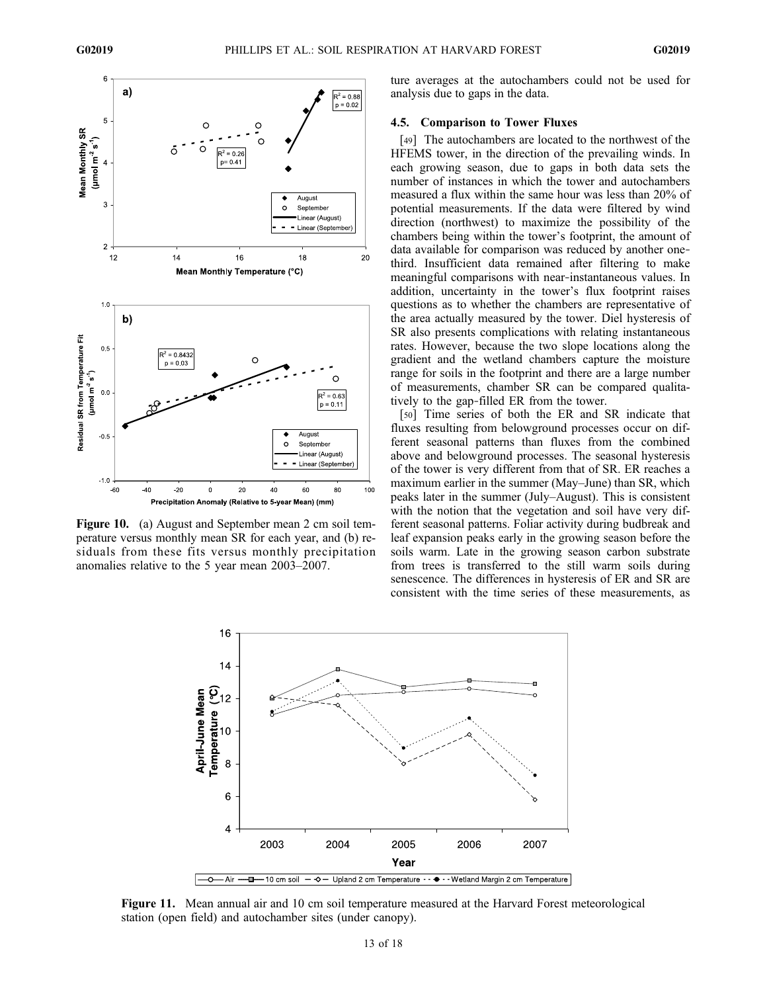

Figure 10. (a) August and September mean 2 cm soil temperature versus monthly mean SR for each year, and (b) residuals from these fits versus monthly precipitation anomalies relative to the 5 year mean 2003–2007.

ture averages at the autochambers could not be used for analysis due to gaps in the data.

# 4.5. Comparison to Tower Fluxes

[49] The autochambers are located to the northwest of the HFEMS tower, in the direction of the prevailing winds. In each growing season, due to gaps in both data sets the number of instances in which the tower and autochambers measured a flux within the same hour was less than 20% of potential measurements. If the data were filtered by wind direction (northwest) to maximize the possibility of the chambers being within the tower's footprint, the amount of data available for comparison was reduced by another one‐ third. Insufficient data remained after filtering to make meaningful comparisons with near‐instantaneous values. In addition, uncertainty in the tower's flux footprint raises questions as to whether the chambers are representative of the area actually measured by the tower. Diel hysteresis of SR also presents complications with relating instantaneous rates. However, because the two slope locations along the gradient and the wetland chambers capture the moisture range for soils in the footprint and there are a large number of measurements, chamber SR can be compared qualitatively to the gap‐filled ER from the tower.

[50] Time series of both the ER and SR indicate that fluxes resulting from belowground processes occur on different seasonal patterns than fluxes from the combined above and belowground processes. The seasonal hysteresis of the tower is very different from that of SR. ER reaches a maximum earlier in the summer (May–June) than SR, which peaks later in the summer (July–August). This is consistent with the notion that the vegetation and soil have very different seasonal patterns. Foliar activity during budbreak and leaf expansion peaks early in the growing season before the soils warm. Late in the growing season carbon substrate from trees is transferred to the still warm soils during senescence. The differences in hysteresis of ER and SR are consistent with the time series of these measurements, as



Figure 11. Mean annual air and 10 cm soil temperature measured at the Harvard Forest meteorological station (open field) and autochamber sites (under canopy).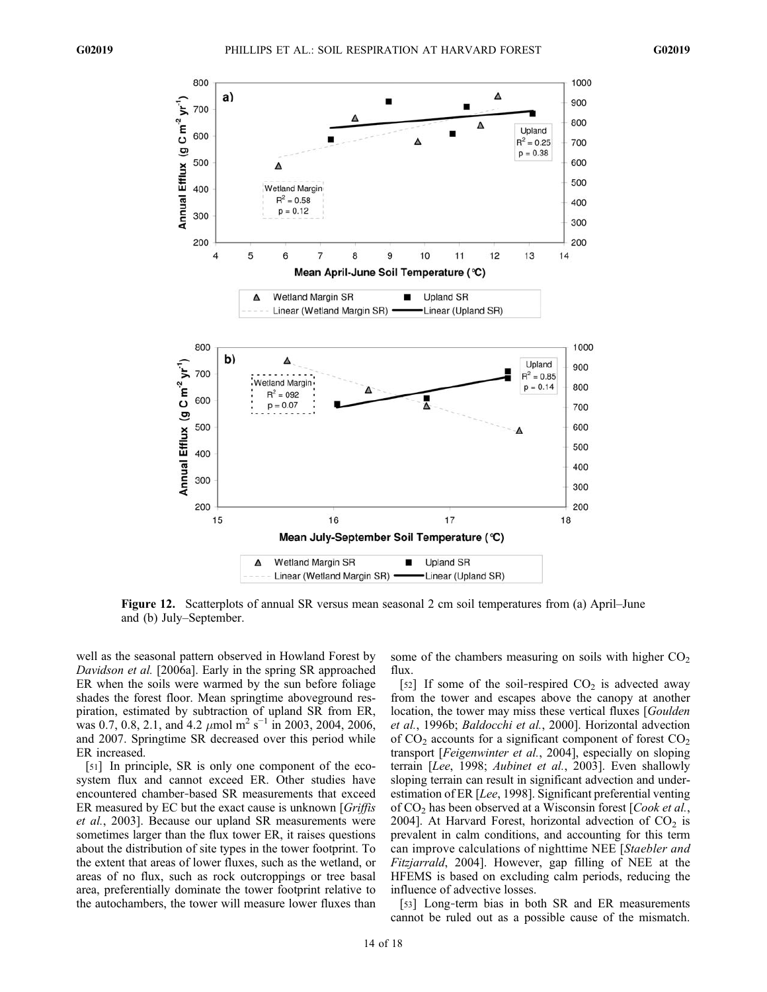

Figure 12. Scatterplots of annual SR versus mean seasonal 2 cm soil temperatures from (a) April–June and (b) July–September.

well as the seasonal pattern observed in Howland Forest by Davidson et al. [2006a]. Early in the spring SR approached ER when the soils were warmed by the sun before foliage shades the forest floor. Mean springtime aboveground respiration, estimated by subtraction of upland SR from ER, was 0.7, 0.8, 2.1, and 4.2  $\mu$ mol m<sup>2</sup> s<sup>-1</sup> in 2003, 2004, 2006, and 2007. Springtime SR decreased over this period while ER increased.

[51] In principle, SR is only one component of the ecosystem flux and cannot exceed ER. Other studies have encountered chamber‐based SR measurements that exceed ER measured by EC but the exact cause is unknown [Griffis] et al., 2003]. Because our upland SR measurements were sometimes larger than the flux tower ER, it raises questions about the distribution of site types in the tower footprint. To the extent that areas of lower fluxes, such as the wetland, or areas of no flux, such as rock outcroppings or tree basal area, preferentially dominate the tower footprint relative to the autochambers, the tower will measure lower fluxes than some of the chambers measuring on soils with higher  $CO<sub>2</sub>$ flux.

[52] If some of the soil-respired  $CO<sub>2</sub>$  is advected away from the tower and escapes above the canopy at another location, the tower may miss these vertical fluxes [Goulden] et al., 1996b; Baldocchi et al., 2000]. Horizontal advection of  $CO<sub>2</sub>$  accounts for a significant component of forest  $CO<sub>2</sub>$ transport [Feigenwinter et al., 2004], especially on sloping terrain [Lee, 1998; Aubinet et al., 2003]. Even shallowly sloping terrain can result in significant advection and underestimation of ER [Lee, 1998]. Significant preferential venting of  $CO<sub>2</sub>$  has been observed at a Wisconsin forest [*Cook et al.*, 2004]. At Harvard Forest, horizontal advection of  $CO<sub>2</sub>$  is prevalent in calm conditions, and accounting for this term can improve calculations of nighttime NEE [Staebler and Fitzjarrald, 2004]. However, gap filling of NEE at the HFEMS is based on excluding calm periods, reducing the influence of advective losses.

[53] Long-term bias in both SR and ER measurements cannot be ruled out as a possible cause of the mismatch.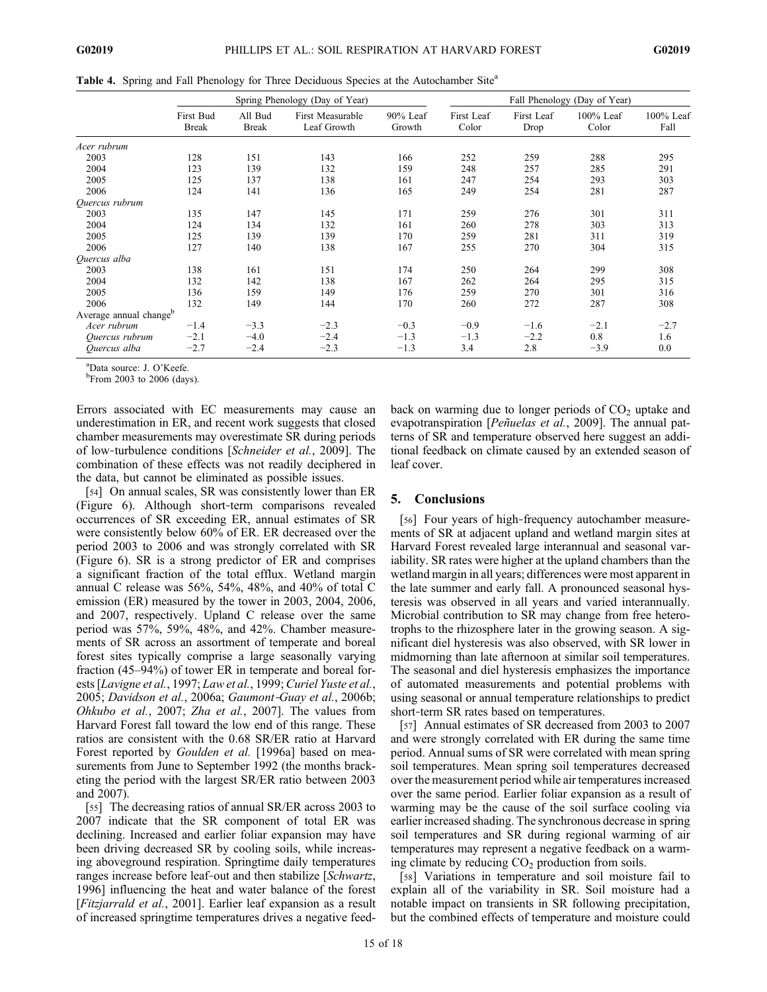Table 4. Spring and Fall Phenology for Three Deciduous Species at the Autochamber Site<sup>a</sup>

|                                    |                           | Spring Phenology (Day of Year) |                                 |                       |                     | Fall Phenology (Day of Year) |                    |                   |  |
|------------------------------------|---------------------------|--------------------------------|---------------------------------|-----------------------|---------------------|------------------------------|--------------------|-------------------|--|
|                                    | First Bud<br><b>Break</b> | All Bud<br><b>Break</b>        | First Measurable<br>Leaf Growth | $90\%$ Leaf<br>Growth | First Leaf<br>Color | First Leaf<br>Drop           | 100% Leaf<br>Color | 100% Leaf<br>Fall |  |
| Acer rubrum                        |                           |                                |                                 |                       |                     |                              |                    |                   |  |
| 2003                               | 128                       | 151                            | 143                             | 166                   | 252                 | 259                          | 288                | 295               |  |
| 2004                               | 123                       | 139                            | 132                             | 159                   | 248                 | 257                          | 285                | 291               |  |
| 2005                               | 125                       | 137                            | 138                             | 161                   | 247                 | 254                          | 293                | 303               |  |
| 2006                               | 124                       | 141                            | 136                             | 165                   | 249                 | 254                          | 281                | 287               |  |
| Quercus rubrum                     |                           |                                |                                 |                       |                     |                              |                    |                   |  |
| 2003                               | 135                       | 147                            | 145                             | 171                   | 259                 | 276                          | 301                | 311               |  |
| 2004                               | 124                       | 134                            | 132                             | 161                   | 260                 | 278                          | 303                | 313               |  |
| 2005                               | 125                       | 139                            | 139                             | 170                   | 259                 | 281                          | 311                | 319               |  |
| 2006                               | 127                       | 140                            | 138                             | 167                   | 255                 | 270                          | 304                | 315               |  |
| Quercus alba                       |                           |                                |                                 |                       |                     |                              |                    |                   |  |
| 2003                               | 138                       | 161                            | 151                             | 174                   | 250                 | 264                          | 299                | 308               |  |
| 2004                               | 132                       | 142                            | 138                             | 167                   | 262                 | 264                          | 295                | 315               |  |
| 2005                               | 136                       | 159                            | 149                             | 176                   | 259                 | 270                          | 301                | 316               |  |
| 2006                               | 132                       | 149                            | 144                             | 170                   | 260                 | 272                          | 287                | 308               |  |
| Average annual change <sup>b</sup> |                           |                                |                                 |                       |                     |                              |                    |                   |  |
| Acer rubrum                        | $-1.4$                    | $-3.3$                         | $-2.3$                          | $-0.3$                | $-0.9$              | $-1.6$                       | $-2.1$             | $-2.7$            |  |
| Ouercus rubrum                     | $-2.1$                    | $-4.0$                         | $-2.4$                          | $-1.3$                | $-1.3$              | $-2.2$                       | 0.8                | 1.6               |  |
| Ouercus alba                       | $-2.7$                    | $-2.4$                         | $-2.3$                          | $-1.3$                | 3.4                 | 2.8                          | $-3.9$             | 0.0               |  |

 ${}^{a}$ Data source: J. O'Keefe.

<sup>b</sup>From 2003 to 2006 (days).

Errors associated with EC measurements may cause an underestimation in ER, and recent work suggests that closed chamber measurements may overestimate SR during periods of low-turbulence conditions [Schneider et al., 2009]. The combination of these effects was not readily deciphered in the data, but cannot be eliminated as possible issues.

[54] On annual scales, SR was consistently lower than ER (Figure 6). Although short‐term comparisons revealed occurrences of SR exceeding ER, annual estimates of SR were consistently below 60% of ER. ER decreased over the period 2003 to 2006 and was strongly correlated with SR (Figure 6). SR is a strong predictor of ER and comprises a significant fraction of the total efflux. Wetland margin annual C release was 56%, 54%, 48%, and 40% of total C emission (ER) measured by the tower in 2003, 2004, 2006, and 2007, respectively. Upland C release over the same period was 57%, 59%, 48%, and 42%. Chamber measurements of SR across an assortment of temperate and boreal forest sites typically comprise a large seasonally varying fraction (45–94%) of tower ER in temperate and boreal forests [Lavigne et al., 1997; Law et al., 1999; Curiel Yuste et al., 2005; Davidson et al., 2006a; Gaumont‐Guay et al., 2006b; Ohkubo et al., 2007; Zha et al., 2007]. The values from Harvard Forest fall toward the low end of this range. These ratios are consistent with the 0.68 SR/ER ratio at Harvard Forest reported by *Goulden et al.* [1996a] based on measurements from June to September 1992 (the months bracketing the period with the largest SR/ER ratio between 2003 and 2007).

[55] The decreasing ratios of annual SR/ER across 2003 to 2007 indicate that the SR component of total ER was declining. Increased and earlier foliar expansion may have been driving decreased SR by cooling soils, while increasing aboveground respiration. Springtime daily temperatures ranges increase before leaf-out and then stabilize [Schwartz, 1996] influencing the heat and water balance of the forest [Fitzjarrald et al., 2001]. Earlier leaf expansion as a result of increased springtime temperatures drives a negative feedback on warming due to longer periods of  $CO<sub>2</sub>$  uptake and evapotranspiration [*Peñuelas et al.*, 2009]. The annual patterns of SR and temperature observed here suggest an additional feedback on climate caused by an extended season of leaf cover.

## 5. Conclusions

[56] Four years of high-frequency autochamber measurements of SR at adjacent upland and wetland margin sites at Harvard Forest revealed large interannual and seasonal variability. SR rates were higher at the upland chambers than the wetland margin in all years; differences were most apparent in the late summer and early fall. A pronounced seasonal hysteresis was observed in all years and varied interannually. Microbial contribution to SR may change from free heterotrophs to the rhizosphere later in the growing season. A significant diel hysteresis was also observed, with SR lower in midmorning than late afternoon at similar soil temperatures. The seasonal and diel hysteresis emphasizes the importance of automated measurements and potential problems with using seasonal or annual temperature relationships to predict short-term SR rates based on temperatures.

[57] Annual estimates of SR decreased from 2003 to 2007 and were strongly correlated with ER during the same time period. Annual sums of SR were correlated with mean spring soil temperatures. Mean spring soil temperatures decreased over the measurement period while air temperatures increased over the same period. Earlier foliar expansion as a result of warming may be the cause of the soil surface cooling via earlier increased shading. The synchronous decrease in spring soil temperatures and SR during regional warming of air temperatures may represent a negative feedback on a warming climate by reducing  $CO<sub>2</sub>$  production from soils.

[58] Variations in temperature and soil moisture fail to explain all of the variability in SR. Soil moisture had a notable impact on transients in SR following precipitation, but the combined effects of temperature and moisture could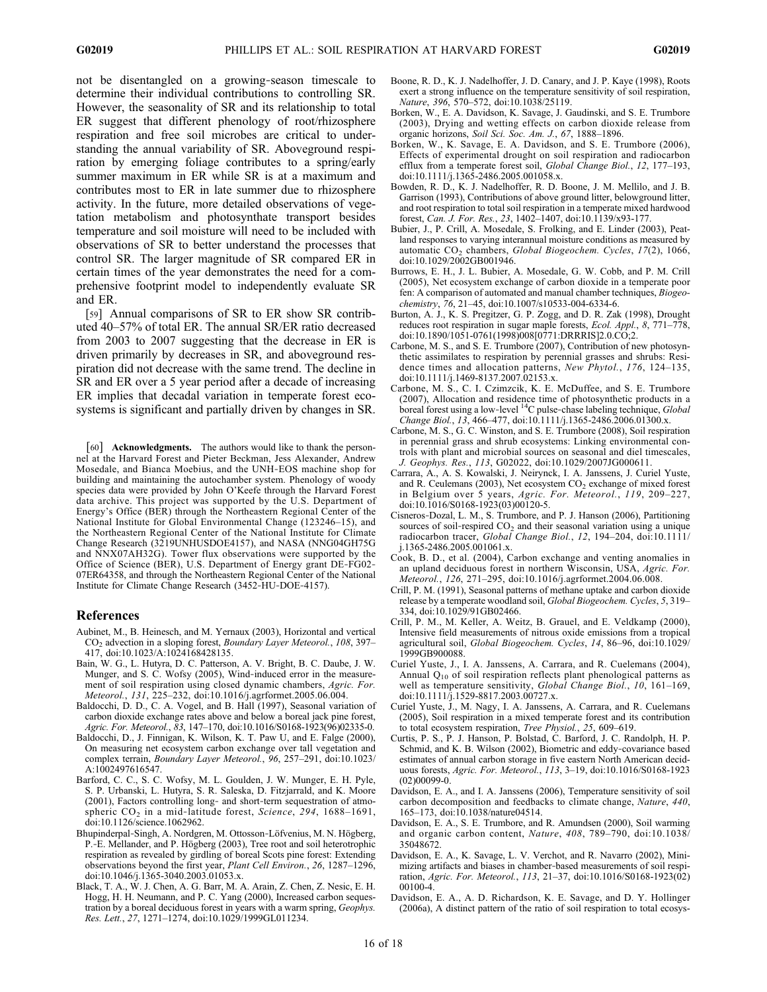not be disentangled on a growing‐season timescale to determine their individual contributions to controlling SR. However, the seasonality of SR and its relationship to total ER suggest that different phenology of root/rhizosphere respiration and free soil microbes are critical to understanding the annual variability of SR. Aboveground respiration by emerging foliage contributes to a spring/early summer maximum in ER while SR is at a maximum and contributes most to ER in late summer due to rhizosphere activity. In the future, more detailed observations of vegetation metabolism and photosynthate transport besides temperature and soil moisture will need to be included with observations of SR to better understand the processes that control SR. The larger magnitude of SR compared ER in certain times of the year demonstrates the need for a comprehensive footprint model to independently evaluate SR and ER.

[59] Annual comparisons of SR to ER show SR contributed 40–57% of total ER. The annual SR/ER ratio decreased from 2003 to 2007 suggesting that the decrease in ER is driven primarily by decreases in SR, and aboveground respiration did not decrease with the same trend. The decline in SR and ER over a 5 year period after a decade of increasing ER implies that decadal variation in temperate forest ecosystems is significant and partially driven by changes in SR.

[60] Acknowledgments. The authors would like to thank the personnel at the Harvard Forest and Pieter Beckman, Jess Alexander, Andrew Mosedale, and Bianca Moebius, and the UNH‐EOS machine shop for building and maintaining the autochamber system. Phenology of woody species data were provided by John O'Keefe through the Harvard Forest data archive. This project was supported by the U.S. Department of Energy's Office (BER) through the Northeastern Regional Center of the National Institute for Global Environmental Change (123246–15), and the Northeastern Regional Center of the National Institute for Climate Change Research (3219UNHUSDOE4157), and NASA (NNG04GH75G and NNX07AH32G). Tower flux observations were supported by the Office of Science (BER), U.S. Department of Energy grant DE‐FG02‐ 07ER64358, and through the Northeastern Regional Center of the National Institute for Climate Change Research (3452‐HU‐DOE‐4157).

# References

- Aubinet, M., B. Heinesch, and M. Yernaux (2003), Horizontal and vertical CO2 advection in a sloping forest, Boundary Layer Meteorol., 108, 397– 417, doi:10.1023/A:1024168428135.
- Bain, W. G., L. Hutyra, D. C. Patterson, A. V. Bright, B. C. Daube, J. W. Munger, and S. C. Wofsy (2005), Wind‐induced error in the measurement of soil respiration using closed dynamic chambers, Agric. For. Meteorol., 131, 225–232, doi:10.1016/j.agrformet.2005.06.004.
- Baldocchi, D. D., C. A. Vogel, and B. Hall (1997), Seasonal variation of carbon dioxide exchange rates above and below a boreal jack pine forest, Agric. For. Meteorol., 83, 147–170, doi:10.1016/S0168-1923(96)02335-0.
- Baldocchi, D., J. Finnigan, K. Wilson, K. T. Paw U, and E. Falge (2000), On measuring net ecosystem carbon exchange over tall vegetation and complex terrain, Boundary Layer Meteorol., 96, 257–291, doi:10.1023/ A:1002497616547.
- Barford, C. C., S. C. Wofsy, M. L. Goulden, J. W. Munger, E. H. Pyle, S. P. Urbanski, L. Hutyra, S. R. Saleska, D. Fitzjarrald, and K. Moore (2001), Factors controlling long‐ and short‐term sequestration of atmospheric CO<sub>2</sub> in a mid-latitude forest, Science, 294, 1688-1691, doi:10.1126/science.1062962.
- Bhupinderpal‐Singh, A. Nordgren, M. Ottosson‐Löfvenius, M. N. Högberg, P.-E. Mellander, and P. Högberg (2003), Tree root and soil heterotrophic respiration as revealed by girdling of boreal Scots pine forest: Extending observations beyond the first year, Plant Cell Environ., 26, 1287–1296, doi:10.1046/j.1365-3040.2003.01053.x.
- Black, T. A., W. J. Chen, A. G. Barr, M. A. Arain, Z. Chen, Z. Nesic, E. H. Hogg, H. H. Neumann, and P. C. Yang (2000), Increased carbon sequestration by a boreal deciduous forest in years with a warm spring, Geophys. Res. Lett., 27, 1271–1274, doi:10.1029/1999GL011234.
- Boone, R. D., K. J. Nadelhoffer, J. D. Canary, and J. P. Kaye (1998), Roots exert a strong influence on the temperature sensitivity of soil respiration, Nature, 396, 570-572, doi:10.1038/25119.
- Borken, W., E. A. Davidson, K. Savage, J. Gaudinski, and S. E. Trumbore (2003), Drying and wetting effects on carbon dioxide release from organic horizons, Soil Sci. Soc. Am. J., 67, 1888–1896.
- Borken, W., K. Savage, E. A. Davidson, and S. E. Trumbore (2006), Effects of experimental drought on soil respiration and radiocarbon efflux from a temperate forest soil, Global Change Biol., 12, 177–193, doi:10.1111/j.1365-2486.2005.001058.x.
- Bowden, R. D., K. J. Nadelhoffer, R. D. Boone, J. M. Mellilo, and J. B. Garrison (1993), Contributions of above ground litter, belowground litter, and root respiration to total soil respiration in a temperate mixed hardwood forest, Can. J. For. Res., 23, 1402–1407, doi:10.1139/x93-177.
- Bubier, J., P. Crill, A. Mosedale, S. Frolking, and E. Linder (2003), Peatland responses to varying interannual moisture conditions as measured by automatic CO<sub>2</sub> chambers, Global Biogeochem. Cycles, 17(2), 1066, doi:10.1029/2002GB001946.
- Burrows, E. H., J. L. Bubier, A. Mosedale, G. W. Cobb, and P. M. Crill (2005), Net ecosystem exchange of carbon dioxide in a temperate poor fen: A comparison of automated and manual chamber techniques, Biogeochemistry, 76, 21–45, doi:10.1007/s10533-004-6334-6.
- Burton, A. J., K. S. Pregitzer, G. P. Zogg, and D. R. Zak (1998), Drought reduces root respiration in sugar maple forests, Ecol. Appl., 8, 771–778, doi:10.1890/1051-0761(1998)008[0771:DRRRIS]2.0.CO;2.
- Carbone, M. S., and S. E. Trumbore (2007), Contribution of new photosynthetic assimilates to respiration by perennial grasses and shrubs: Residence times and allocation patterns, New Phytol., 176, 124–135, doi:10.1111/j.1469-8137.2007.02153.x.
- Carbone, M. S., C. I. Czimzcik, K. E. McDuffee, and S. E. Trumbore (2007), Allocation and residence time of photosynthetic products in a boreal forest using a low-level <sup>14</sup>C pulse-chase labeling technique, *Global* Change Biol., 13, 466–477, doi:10.1111/j.1365-2486.2006.01300.x.
- Carbone, M. S., G. C. Winston, and S. E. Trumbore (2008), Soil respiration in perennial grass and shrub ecosystems: Linking environmental controls with plant and microbial sources on seasonal and diel timescales, J. Geophys. Res., 113, G02022, doi:10.1029/2007JG000611.
- Carrara, A., A. S. Kowalski, J. Neirynck, I. A. Janssens, J. Curiel Yuste, and R. Ceulemans (2003), Net ecosystem  $CO<sub>2</sub>$  exchange of mixed forest in Belgium over 5 years, Agric. For. Meteorol., 119, 209–227, doi:10.1016/S0168-1923(03)00120-5.
- Cisneros‐Dozal, L. M., S. Trumbore, and P. J. Hanson (2006), Partitioning sources of soil-respired CO<sub>2</sub> and their seasonal variation using a unique radiocarbon tracer, Global Change Biol., 12, 194–204, doi:10.1111/ j.1365-2486.2005.001061.x.
- Cook, B. D., et al. (2004), Carbon exchange and venting anomalies in an upland deciduous forest in northern Wisconsin, USA, Agric. For. Meteorol., 126, 271–295, doi:10.1016/j.agrformet.2004.06.008.
- Crill, P. M. (1991), Seasonal patterns of methane uptake and carbon dioxide release by a temperate woodland soil, Global Biogeochem. Cycles, 5, 319– 334, doi:10.1029/91GB02466.
- Crill, P. M., M. Keller, A. Weitz, B. Grauel, and E. Veldkamp (2000), Intensive field measurements of nitrous oxide emissions from a tropical agricultural soil, Global Biogeochem. Cycles, 14, 86–96, doi:10.1029/ 1999GB900088.
- Curiel Yuste, J., I. A. Janssens, A. Carrara, and R. Cuelemans (2004), Annual Q10 of soil respiration reflects plant phenological patterns as well as temperature sensitivity, Global Change Biol., 10, 161-169, doi:10.1111/j.1529-8817.2003.00727.x.
- Curiel Yuste, J., M. Nagy, I. A. Janssens, A. Carrara, and R. Cuelemans (2005), Soil respiration in a mixed temperate forest and its contribution to total ecosystem respiration, Tree Physiol., 25, 609–619.
- Curtis, P. S., P. J. Hanson, P. Bolstad, C. Barford, J. C. Randolph, H. P. Schmid, and K. B. Wilson (2002), Biometric and eddy‐covariance based estimates of annual carbon storage in five eastern North American deciduous forests, Agric. For. Meteorol., 113, 3–19, doi:10.1016/S0168-1923 (02)00099-0.
- Davidson, E. A., and I. A. Janssens (2006), Temperature sensitivity of soil carbon decomposition and feedbacks to climate change, Nature, 440, 165–173, doi:10.1038/nature04514.
- Davidson, E. A., S. E. Trumbore, and R. Amundsen (2000), Soil warming and organic carbon content, Nature, 408, 789–790, doi:10.1038/ 35048672.
- Davidson, E. A., K. Savage, L. V. Verchot, and R. Navarro (2002), Minimizing artifacts and biases in chamber‐based measurements of soil respiration, Agric. For. Meteorol., 113, 21–37, doi:10.1016/S0168-1923(02) 00100-4.
- Davidson, E. A., A. D. Richardson, K. E. Savage, and D. Y. Hollinger (2006a), A distinct pattern of the ratio of soil respiration to total ecosys-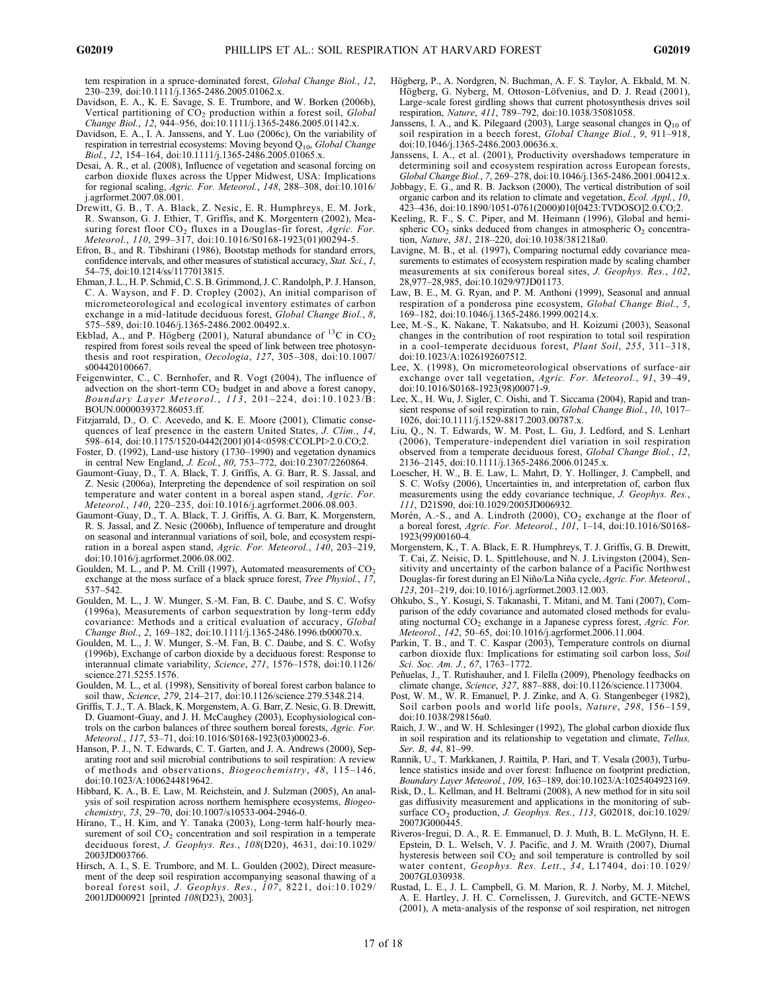tem respiration in a spruce-dominated forest, Global Change Biol., 12, 230–239, doi:10.1111/j.1365-2486.2005.01062.x.

- Davidson, E. A., K. E. Savage, S. E. Trumbore, and W. Borken (2006b), Vertical partitioning of  $CO<sub>2</sub>$  production within a forest soil, *Global* Change Biol., 12, 944–956, doi:10.1111/j.1365-2486.2005.01142.x.
- Davidson, E. A., I. A. Janssens, and Y. Luo (2006c), On the variability of respiration in terrestrial ecosystems: Moving beyond Q<sub>10</sub>, Global Change Biol., 12, 154–164, doi:10.1111/j.1365-2486.2005.01065.x.
- Desai, A. R., et al. (2008), Influence of vegetation and seasonal forcing on carbon dioxide fluxes across the Upper Midwest, USA: Implications for regional scaling, Agric. For. Meteorol., 148, 288–308, doi:10.1016/ j.agrformet.2007.08.001.
- Drewitt, G. B., T. A. Black, Z. Nesic, E. R. Humphreys, E. M. Jork, R. Swanson, G. J. Ethier, T. Griffis, and K. Morgentern (2002), Measuring forest floor  $CO_2$  fluxes in a Douglas-fir forest, Agric. For. Meteorol., 110, 299–317, doi:10.1016/S0168-1923(01)00294-5.
- Efron, B., and R. Tibshirani (1986), Bootstap methods for standard errors, confidence intervals, and other measures of statistical accuracy, Stat. Sci., 1, 54–75, doi:10.1214/ss/1177013815.
- Ehman, J. L., H. P. Schmid, C. S. B. Grimmond, J. C. Randolph, P. J. Hanson, C. A. Wayson, and F. D. Cropley (2002), An initial comparison of micrometeorological and ecological inventory estimates of carbon exchange in a mid-latitude deciduous forest, Global Change Biol., 8, 575–589, doi:10.1046/j.1365-2486.2002.00492.x.
- Ekblad, A., and P. Högberg (2001), Natural abundance of  $^{13}$ C in CO<sub>2</sub> respired from forest soils reveal the speed of link between tree photosynthesis and root respiration, Oecologia, 127, 305-308, doi:10.1007/ s004420100667.
- Feigenwinter, C., C. Bernhofer, and R. Vogt (2004), The influence of advection on the short-term  $CO<sub>2</sub>$  budget in and above a forest canopy Boundary Layer Meteorol.,  $11\bar{3}$ , 201-224, doi:10.1023/B: BOUN.0000039372.86053.ff.
- Fitzjarrald, D., O. C. Acevedo, and K. E. Moore (2001), Climatic consequences of leaf presence in the eastern United States, J. Clim.,  $14$ . 598–614, doi:10.1175/1520-0442(2001)014<0598:CCOLPI>2.0.CO;2.
- Foster, D. (1992), Land‐use history (1730–1990) and vegetation dynamics in central New England, J. Ecol., 80, 753–772, doi:10.2307/2260864.
- Gaumont‐Guay, D., T. A. Black, T. J. Griffis, A. G. Barr, R. S. Jassal, and Z. Nesic (2006a), Interpreting the dependence of soil respiration on soil temperature and water content in a boreal aspen stand, Agric. For. Meteorol., 140, 220–235, doi:10.1016/j.agrformet.2006.08.003.
- Gaumont‐Guay, D., T. A. Black, T. J. Griffis, A. G. Barr, K. Morgenstern, R. S. Jassal, and Z. Nesic (2006b), Influence of temperature and drought on seasonal and interannual variations of soil, bole, and ecosystem respiration in a boreal aspen stand, Agric. For. Meteorol., 140, 203–219, doi:10.1016/j.agrformet.2006.08.002.
- Goulden, M. L., and P. M. Crill (1997), Automated measurements of  $CO<sub>2</sub>$ exchange at the moss surface of a black spruce forest, Tree Physiol., 17, 537–542.
- Goulden, M. L., J. W. Munger, S.‐M. Fan, B. C. Daube, and S. C. Wofsy (1996a), Measurements of carbon sequestration by long‐term eddy covariance: Methods and a critical evaluation of accuracy, Global Change Biol., 2, 169–182, doi:10.1111/j.1365-2486.1996.tb00070.x.
- Goulden, M. L., J. W. Munger, S.‐M. Fan, B. C. Daube, and S. C. Wofsy (1996b), Exchange of carbon dioxide by a deciduous forest: Response to interannual climate variability, Science, 271, 1576–1578, doi:10.1126/ science.271.5255.1576.
- Goulden, M. L., et al. (1998), Sensitivity of boreal forest carbon balance to soil thaw, Science, 279, 214–217, doi:10.1126/science.279.5348.214.
- Griffis, T. J., T. A. Black, K. Morgenstern, A. G. Barr, Z. Nesic, G. B. Drewitt, D. Guamont‐Guay, and J. H. McCaughey (2003), Ecophysiological controls on the carbon balances of three southern boreal forests, Agric. For. Meteorol., 117, 53–71, doi:10.1016/S0168-1923(03)00023-6.
- Hanson, P. J., N. T. Edwards, C. T. Garten, and J. A. Andrews (2000), Separating root and soil microbial contributions to soil respiration: A review of methods and observations, Biogeochemistry, 48, 115–146, doi:10.1023/A:1006244819642.
- Hibbard, K. A., B. E. Law, M. Reichstein, and J. Sulzman (2005), An analysis of soil respiration across northern hemisphere ecosystems, Biogeochemistry, 73, 29–70, doi:10.1007/s10533-004-2946-0.
- Hirano, T., H. Kim, and Y. Tanaka (2003), Long-term half-hourly measurement of soil  $CO<sub>2</sub>$  concentration and soil respiration in a temperate deciduous forest, J. Geophys. Res., 108(D20), 4631, doi:10.1029/ 2003JD003766.
- Hirsch, A. I., S. E. Trumbore, and M. L. Goulden (2002), Direct measurement of the deep soil respiration accompanying seasonal thawing of a boreal forest soil, J. Geophys. Res., 107, 8221, doi:10.1029/ 2001JD000921 [printed 108(D23), 2003].
- Högberg, P., A. Nordgren, N. Buchman, A. F. S. Taylor, A. Ekbald, M. N. Högberg, G. Nyberg, M. Ottoson‐Löfvenius, and D. J. Read (2001), Large-scale forest girdling shows that current photosynthesis drives soil respiration, Nature, 411, 789–792, doi:10.1038/35081058.
- Janssens, I. A., and K. Pilegaard (2003), Large seasonal changes in  $Q_{10}$  of soil respiration in a beech forest, Global Change Biol., 9, 911–918, doi:10.1046/j.1365-2486.2003.00636.x.
- Janssens, I. A., et al. (2001), Productivity overshadows temperature in determining soil and ecosystem respiration across European forests, Global Change Biol., 7, 269–278, doi:10.1046/j.1365-2486.2001.00412.x.
- Jobbagy, E. G., and R. B. Jackson (2000), The vertical distribution of soil organic carbon and its relation to climate and vegetation, Ecol. Appl., 10, 423–436, doi:10.1890/1051-0761(2000)010[0423:TVDOSO]2.0.CO;2.
- Keeling, R. F., S. C. Piper, and M. Heimann (1996), Global and hemispheric  $CO<sub>2</sub>$  sinks deduced from changes in atmospheric  $O<sub>2</sub>$  concentration, Nature, 381, 218–220, doi:10.1038/381218a0.
- Lavigne, M. B., et al. (1997), Comparing nocturnal eddy covariance measurements to estimates of ecosystem respiration made by scaling chamber measurements at six coniferous boreal sites, J. Geophys. Res., 102, 28,977–28,985, doi:10.1029/97JD01173.
- Law, B. E., M. G. Ryan, and P. M. Anthoni (1999), Seasonal and annual respiration of a ponderosa pine ecosystem, Global Change Biol., 5, 169–182, doi:10.1046/j.1365-2486.1999.00214.x.
- Lee, M.‐S., K. Nakane, T. Nakatsubo, and H. Koizumi (2003), Seasonal changes in the contribution of root respiration to total soil respiration in a cool-temperate deciduous forest, Plant Soil, 255, 311-318, doi:10.1023/A:1026192607512.
- Lee, X. (1998), On micrometeorological observations of surface-air exchange over tall vegetation, Agric. For. Meteorol., 91, 39–49, doi:10.1016/S0168-1923(98)00071-9.
- Lee, X., H. Wu, J. Sigler, C. Oishi, and T. Siccama (2004), Rapid and transient response of soil respiration to rain, Global Change Biol., 10, 1017– 1026, doi:10.1111/j.1529-8817.2003.00787.x.
- Liu, Q., N. T. Edwards, W. M. Post, L. Gu, J. Ledford, and S. Lenhart (2006), Temperature‐independent diel variation in soil respiration observed from a temperate deciduous forest, Global Change Biol., 12, 2136–2145, doi:10.1111/j.1365-2486.2006.01245.x.
- Loescher, H. W., B. E. Law, L. Mahrt, D. Y. Hollinger, J. Campbell, and S. C. Wofsy (2006), Uncertainties in, and interpretation of, carbon flux measurements using the eddy covariance technique, J. Geophys. Res., 111, D21S90, doi:10.1029/2005JD006932.
- Morén, A.-S., and A. Lindroth (2000), CO<sub>2</sub> exchange at the floor of a boreal forest, Agric. For. Meteorol., 101, 1–14, doi:10.1016/S0168- 1923(99)00160-4.
- Morgenstern, K., T. A. Black, E. R. Humphreys, T. J. Griffis, G. B. Drewitt, T. Cai, Z. Neisic, D. L. Spittlehouse, and N. J. Livingston (2004), Sensitivity and uncertainty of the carbon balance of a Pacific Northwest Douglas‐fir forest during an El Niño/La Niña cycle, Agric. For. Meteorol., 123, 201–219, doi:10.1016/j.agrformet.2003.12.003.
- Ohkubo, S., Y. Kosugi, S. Takanashi, T. Mitani, and M. Tani (2007), Comparison of the eddy covariance and automated closed methods for evaluating nocturnal  $CO<sub>2</sub>$  exchange in a Japanese cypress forest, Agric. For. Meteorol., 142, 50–65, doi:10.1016/j.agrformet.2006.11.004.
- Parkin, T. B., and T. C. Kaspar (2003), Temperature controls on diurnal carbon dioxide flux: Implications for estimating soil carbon loss, Soil Sci. Soc. Am. J., 67, 1763–1772.
- Peñuelas, J., T. Rutishauher, and I. Filella (2009), Phenology feedbacks on climate change, Science, 327, 887–888, doi:10.1126/science.1173004.
- Post, W. M., W. R. Emanuel, P. J. Zinke, and A. G. Stangenbeger (1982), Soil carbon pools and world life pools, Nature, 298, 156–159, doi:10.1038/298156a0.
- Raich, J. W., and W. H. Schlesinger (1992), The global carbon dioxide flux in soil respiration and its relationship to vegetation and climate, Tellus, Ser. B, 44, 81-99.
- Rannik, U., T. Markkanen, J. Raittila, P. Hari, and T. Vesala (2003), Turbulence statistics inside and over forest: Influence on footprint prediction, Boundary Layer Meteorol., 109, 163–189, doi:10.1023/A:1025404923169.
- Risk, D., L. Kellman, and H. Beltrami (2008), A new method for in situ soil gas diffusivity measurement and applications in the monitoring of subsurface CO<sub>2</sub> production, *J. Geophys. Res.*, 113, G02018, doi:10.1029/ 2007JG000445.
- Riveros‐Iregui, D. A., R. E. Emmanuel, D. J. Muth, B. L. McGlynn, H. E. Epstein, D. L. Welsch, V. J. Pacific, and J. M. Wraith (2007), Diurnal hysteresis between soil CO<sub>2</sub> and soil temperature is controlled by soil water content, Geophys. Res. Lett., 34, L17404, doi:10.1029/ 2007GL030938.
- Rustad, L. E., J. L. Campbell, G. M. Marion, R. J. Norby, M. J. Mitchel, A. E. Hartley, J. H. C. Cornelissen, J. Gurevitch, and GCTE‐NEWS (2001), A meta‐analysis of the response of soil respiration, net nitrogen